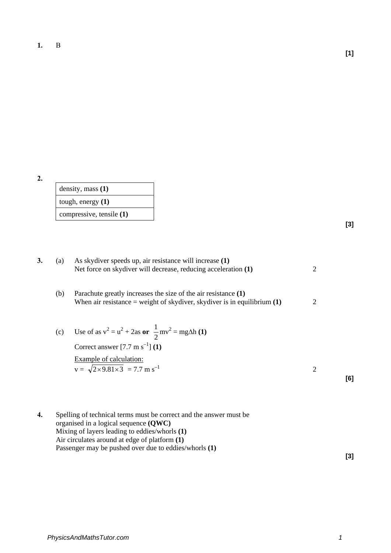**2.**

| density, mass $(1)$      |
|--------------------------|
| tough, energy $(1)$      |
| compressive, tensile (1) |

**[3]**

**[1]**

| 3. | (a) | As skydiver speeds up, air resistance will increase (1)<br>Net force on skydiver will decrease, reducing acceleration (1)                    | 2 |     |
|----|-----|----------------------------------------------------------------------------------------------------------------------------------------------|---|-----|
|    | (b) | Parachute greatly increases the size of the air resistance (1)<br>When air resistance = weight of skydiver, skydiver is in equilibrium $(1)$ | 2 |     |
|    | (c) | Use of as $v^2 = u^2 + 2as$ or $\frac{1}{2}mv^2 = mg\Delta h$ (1)<br>Correct answer $[7.7 \text{ m s}^{-1}]$ (1)                             |   |     |
|    |     | <b>Example of calculation:</b><br>$v = \sqrt{2 \times 9.81 \times 3} = 7.7$ m s <sup>-1</sup>                                                | 2 |     |
|    |     |                                                                                                                                              |   | [6] |
| 4. |     | Spelling of technical terms must be correct and the answer must be                                                                           |   |     |
|    |     | organised in a logical sequence $(OWC)$                                                                                                      |   |     |

organised in a logical sequence **(QWC)** Mixing of layers leading to eddies/whorls **(1)** Air circulates around at edge of platform **(1)** Passenger may be pushed over due to eddies/whorls **(1)**

**[3]**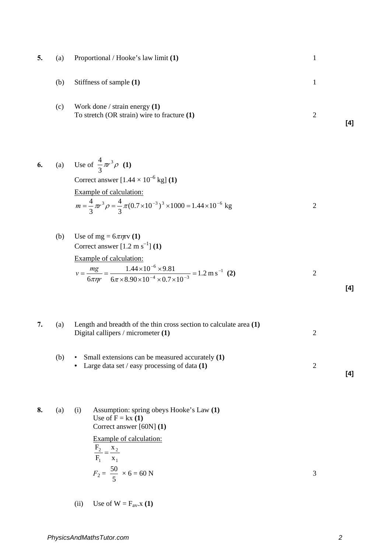| 5. | (a) | Proportional / Hooke's law limit (1)                                                                                                                                                  | $\mathbf{1}$   |     |
|----|-----|---------------------------------------------------------------------------------------------------------------------------------------------------------------------------------------|----------------|-----|
|    | (b) | Stiffness of sample (1)                                                                                                                                                               | $\mathbf{1}$   |     |
|    | (c) | Work done / strain energy $(1)$<br>To stretch (OR strain) wire to fracture $(1)$                                                                                                      | $\overline{2}$ | [4] |
| 6. |     | (a) Use of $\frac{4}{3}\pi^3\rho$ (1)                                                                                                                                                 |                |     |
|    |     | Correct answer $[1.44 \times 10^{-6}$ kg] (1)                                                                                                                                         |                |     |
|    |     | Example of calculation:<br>$m = \frac{4}{3}\pi r^3 \rho = \frac{4}{3}\pi (0.7 \times 10^{-3})^3 \times 1000 = 1.44 \times 10^{-6}$ kg                                                 | $\overline{2}$ |     |
|    | (b) | Use of mg = $6\pi\eta r v(1)$<br>Correct answer $[1.2 \text{ m s}^{-1}]$ (1)                                                                                                          |                |     |
|    |     | Example of calculation:<br>$v = \frac{mg}{6\pi\eta r} = \frac{1.44 \times 10^{-6} \times 9.81}{6\pi \times 8.90 \times 10^{-4} \times 0.7 \times 10^{-3}} = 1.2 \text{ m s}^{-1}$ (2) | $\overline{c}$ | [4] |
|    |     |                                                                                                                                                                                       |                |     |
| 7. | (a) | Length and breadth of the thin cross section to calculate area $(1)$<br>Digital callipers / micrometer (1)                                                                            | $\overline{c}$ |     |
|    | (b) | Small extensions can be measured accurately (1)<br>Large data set / easy processing of data $(1)$                                                                                     | $\overline{2}$ | [4] |
| 8. | (a) | Assumption: spring obeys Hooke's Law (1)<br>(i)<br>Use of $F = kx(1)$                                                                                                                 |                |     |
|    |     | Correct answer [60N] (1)<br><b>Example of calculation:</b>                                                                                                                            |                |     |
|    |     | $\frac{F_2}{F_1} = \frac{x_2}{x_1}$                                                                                                                                                   |                |     |
|    |     | $F_2 = \frac{50}{5} \times 6 = 60 \text{ N}$                                                                                                                                          | 3              |     |

(ii) Use of  $W = F_{av}.x(1)$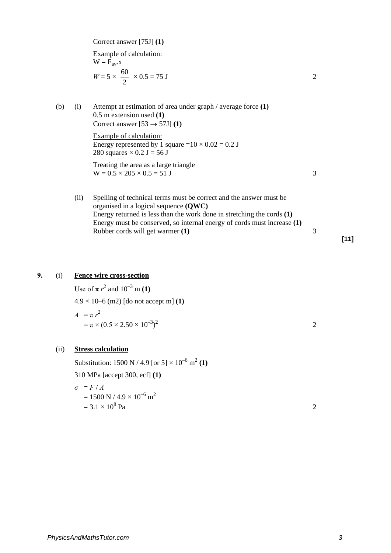Correct answer [75J] **(1)**

Example of calculation:  $\overline{W} = \overline{F}_{av}$ .x  $W = 5 \times$ 2  $\frac{60}{2} \times 0.5 = 75 \text{ J}$  2

(b) (i) Attempt at estimation of area under graph / average force **(1)**  0.5 m extension used **(1)**  Correct answer  $[53 \rightarrow 57J]$  **(1)** 

> Example of calculation: Energy represented by 1 square  $=10 \times 0.02 = 0.2$  J 280 squares  $\times$  0.2 J = 56 J

Treating the area as a large triangle  $W = 0.5 \times 205 \times 0.5 = 51$  J

(ii) Spelling of technical terms must be correct and the answer must be organised in a logical sequence **(QWC)** Energy returned is less than the work done in stretching the cords **(1)** Energy must be conserved, so internal energy of cords must increase **(1)**  Rubber cords will get warmer **(1)** 3

### **9.** (i) **Fence wire cross-section**

Use of  $\pi r^2$  and  $10^{-3}$  m **(1)** 4.9 × 10–6 (m2) [do not accept m] **(1)**   $A = \pi r^2$  $=\pi \times (0.5 \times 2.50 \times 10^{-3})^2$  $\sim$  2

(ii) **Stress calculation**

Substitution:  $1500 \text{ N} / 4.9$  [or  $5 \times 10^{-6} \text{ m}^2$  (1) 310 MPa [accept 300, ecf] **(1)**   $\sigma = F/A$  $= 1500 \text{ N} / 4.9 \times 10^{-6} \text{ m}^2$  $= 3.1 \times 10^8$  Pa 2

**[11]**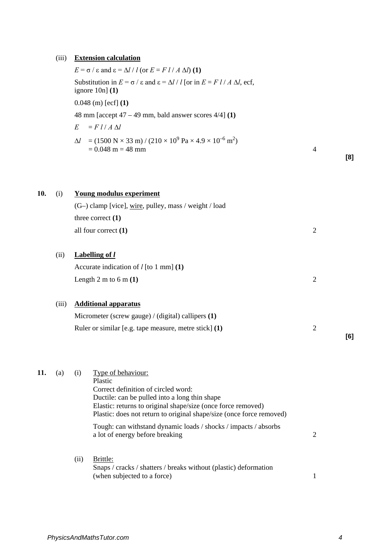## (iii) **Extension calculation**

|     | (III) | <b>Extension calculation</b>                                                                                                                                 |                |     |
|-----|-------|--------------------------------------------------------------------------------------------------------------------------------------------------------------|----------------|-----|
|     |       | $E = \sigma / \varepsilon$ and $\varepsilon = \Delta l / l$ (or $E = Fl / A \Delta l$ ) (1)                                                                  |                |     |
|     |       | Substitution in $E = \sigma / \varepsilon$ and $\varepsilon = \Delta l / l$ [or in $E = Fl / A \Delta l$ , ecf,<br>ignore $10n$ ] $(1)$                      |                |     |
|     |       | $0.048$ (m) [ecf] (1)                                                                                                                                        |                |     |
|     |       | 48 mm [accept $47 - 49$ mm, bald answer scores $4/4$ ] (1)                                                                                                   |                |     |
|     |       | E<br>$=$ $F$ $l$ / $A$ $\Delta l$                                                                                                                            |                |     |
|     |       | $=$ (1500 N $\times$ 33 m) / (210 $\times$ 10 <sup>9</sup> Pa $\times$ 4.9 $\times$ 10 <sup>-6</sup> m <sup>2</sup> )<br>$\Delta l$<br>$= 0.048$ m $= 48$ mm | $\overline{4}$ | [8] |
|     |       |                                                                                                                                                              |                |     |
| 10. | (i)   | <b>Young modulus experiment</b>                                                                                                                              |                |     |
|     |       | (G–) clamp [vice], wire, pulley, mass / weight / load                                                                                                        |                |     |
|     |       | three correct $(1)$                                                                                                                                          |                |     |
|     |       | all four correct (1)                                                                                                                                         | $\overline{2}$ |     |
|     | (ii)  | <b>Labelling of l</b>                                                                                                                                        |                |     |
|     |       | Accurate indication of $l$ [to 1 mm] (1)                                                                                                                     |                |     |
|     |       | Length 2 m to 6 m $(1)$                                                                                                                                      | $\overline{2}$ |     |
|     | (iii) | <b>Additional apparatus</b>                                                                                                                                  |                |     |
|     |       | Micrometer (screw gauge) / (digital) callipers (1)                                                                                                           |                |     |
|     |       | Ruler or similar [e.g. tape measure, metre stick] (1)                                                                                                        | $\overline{2}$ | [6] |
|     |       |                                                                                                                                                              |                |     |
| 11. | (a)   | (i)<br>Type of behaviour:<br>Plastic<br>Correct definition of circled word:                                                                                  |                |     |

Correct definition of circled word: Ductile: can be pulled into a long thin shape Elastic: returns to original shape/size (once force removed) Plastic: does not return to original shape/size (once force removed) Tough: can withstand dynamic loads / shocks / impacts / absorbs a lot of energy before breaking 2 (ii) Brittle: Snaps / cracks / shatters / breaks without (plastic) deformation

(when subjected to a force) 1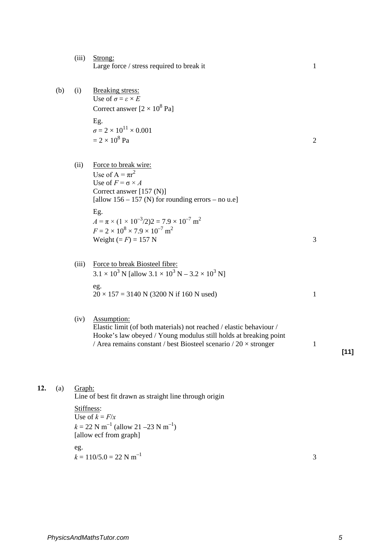- (iii) Strong: Large force  $/$  stress required to break it 1
- (b) (i) Breaking stress: Use of  $\sigma = \varepsilon \times E$ Correct answer  $[2 \times 10^8 \text{ Pa}]$ Eg.  $\sigma = 2 \times 10^{11} \times 0.001$  $= 2 \times 10^8$  Pa 2
	-
	- (ii) Force to break wire: Use of  $A = \pi r^2$ Use of  $F = \sigma \times A$ Correct answer [157 (N)] [allow  $156 - 157$  (N) for rounding errors – no u.e] Eg.  $A = \pi \times (1 \times 10^{-3}/2)2 = 7.9 \times 10^{-7}$  m<sup>2</sup>  $F = 2 \times 10^8 \times 7.9 \times 10^{-7}$  m<sup>2</sup> Weight  $(= F) = 157$  N
	- (iii) Force to break Biosteel fibre:  $3.1 \times 10^3$  N [allow  $3.1 \times 10^3$  N –  $3.2 \times 10^3$  N] eg.  $20 \times 157 = 3140 \text{ N}$  (3200 N if 160 N used) 1
	- (iv) Assumption:

Elastic limit (of both materials) not reached / elastic behaviour / Hooke's law obeyed / Young modulus still holds at breaking point / Area remains constant / best Biosteel scenario /  $20 \times$  stronger 1

**[11]**

### **12.** (a) Graph:

Line of best fit drawn as straight line through origin

Stiffness: Use of  $k = F/x$  $k = 22$  N m<sup>-1</sup> (allow 21 –23 N m<sup>-1</sup>) [allow ecf from graph] eg.  $k = 110/5.0 = 22$  N m<sup>-1</sup> 3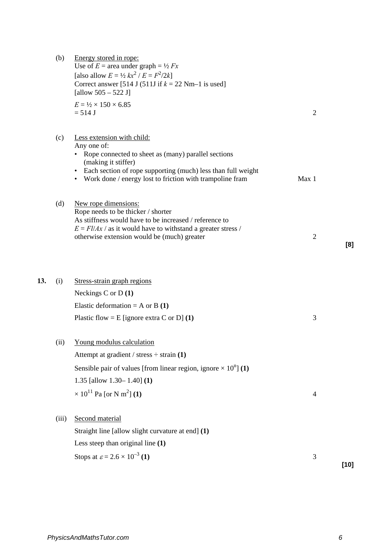|     | (b)   | Energy stored in rope:<br>Use of $E =$ area under graph = $\frac{1}{2} Fx$<br>[also allow $E = \frac{1}{2} kx^2 / E = F^2/2k$ ]<br>Correct answer [514 J (511J if $k = 22$ Nm–1 is used]<br>[allow $505 - 522$ J]<br>$E = \frac{1}{2} \times 150 \times 6.85$<br>$= 514$ J | $\overline{2}$ |        |
|-----|-------|----------------------------------------------------------------------------------------------------------------------------------------------------------------------------------------------------------------------------------------------------------------------------|----------------|--------|
|     | (c)   | Less extension with child:<br>Any one of:<br>• Rope connected to sheet as (many) parallel sections<br>(making it stiffer)<br>• Each section of rope supporting (much) less than full weight<br>• Work done / energy lost to friction with trampoline fram                  | Max 1          |        |
|     | (d)   | New rope dimensions:<br>Rope needs to be thicker / shorter<br>As stiffness would have to be increased / reference to<br>$E = \frac{F l}{Ax}$ / as it would have to withstand a greater stress /<br>otherwise extension would be (much) greater                             | $\overline{2}$ | [8]    |
| 13. | (i)   | Stress-strain graph regions<br>Neckings C or $D(1)$<br>Elastic deformation = A or B $(1)$<br>Plastic flow = E [ignore extra C or D] $(1)$                                                                                                                                  | 3              |        |
|     | (ii)  | Young modulus calculation<br>Attempt at gradient / stress $\div$ strain (1)<br>Sensible pair of values [from linear region, ignore $\times 10^n$ ] (1)<br>1.35 [allow 1.30 – 1.40] $(1)$<br>$\times 10^{11}$ Pa [or N m <sup>2</sup> ] (1)                                 | $\overline{4}$ |        |
|     | (iii) | Second material<br>Straight line [allow slight curvature at end] (1)<br>Less steep than original line $(1)$<br>Stops at $\varepsilon = 2.6 \times 10^{-3}$ (1)                                                                                                             | $\mathfrak{Z}$ |        |
|     |       |                                                                                                                                                                                                                                                                            |                | $[10]$ |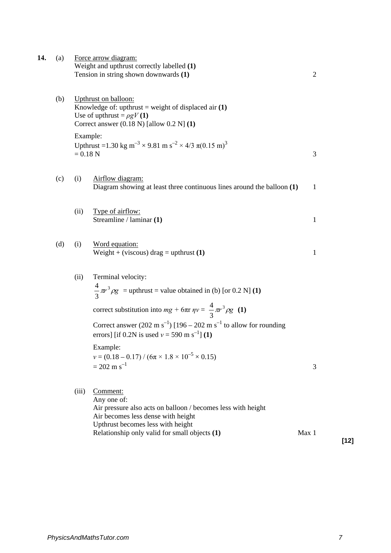| 14. | (a) |                        | Force arrow diagram:<br>Weight and upthrust correctly labelled (1)<br>Tension in string shown downwards (1)                                                                                                                                                                                                                                                                                                                         | $\overline{2}$ |
|-----|-----|------------------------|-------------------------------------------------------------------------------------------------------------------------------------------------------------------------------------------------------------------------------------------------------------------------------------------------------------------------------------------------------------------------------------------------------------------------------------|----------------|
|     | (b) |                        | Upthrust on balloon:<br>Knowledge of: upthrust = weight of displaced air $(1)$<br>Use of upthrust = $\rho gV(1)$<br>Correct answer $(0.18 \text{ N})$ [allow $0.2 \text{ N}$ ] $(1)$                                                                                                                                                                                                                                                |                |
|     |     | Example:<br>$= 0.18 N$ | Upthrust = 1.30 kg m <sup>-3</sup> × 9.81 m s <sup>-2</sup> × 4/3 $\pi$ (0.15 m) <sup>3</sup>                                                                                                                                                                                                                                                                                                                                       | 3              |
|     | (c) | (i)                    | Airflow diagram:<br>Diagram showing at least three continuous lines around the balloon (1)                                                                                                                                                                                                                                                                                                                                          | $\mathbf{1}$   |
|     |     | (ii)                   | Type of airflow:<br>Streamline / laminar (1)                                                                                                                                                                                                                                                                                                                                                                                        | 1              |
|     | (d) | (i)                    | Word equation:<br>Weight + (viscous) drag = upthrust $(1)$                                                                                                                                                                                                                                                                                                                                                                          | 1              |
|     |     | (ii)                   | Terminal velocity:<br>$\frac{4}{3}\pi r^3 \rho g$ = upthrust = value obtained in (b) [or 0.2 N] (1)<br>correct substitution into $mg + 6\pi r \eta v = \frac{4}{3}\pi r^3 \rho g$ (1)<br>Correct answer (202 m s <sup>-1</sup> ) [196 – 202 m s <sup>-1</sup> to allow for rounding<br>errors] [if 0.2N is used $v = 590$ m s <sup>-1</sup> ] (1)<br>Example:<br>$v = (0.18 - 0.17) / (6\pi \times 1.8 \times 10^{-5} \times 0.15)$ |                |
|     |     |                        | $= 202 \text{ m s}^{-1}$                                                                                                                                                                                                                                                                                                                                                                                                            | 3              |
|     |     | (iii)                  | Comment:<br>Any one of:<br>Air pressure also acts on balloon / becomes less with height<br>Air becomes less dense with height<br>Upthrust becomes less with height<br>Relationship only valid for small objects (1)                                                                                                                                                                                                                 | Max 1          |

**[12]**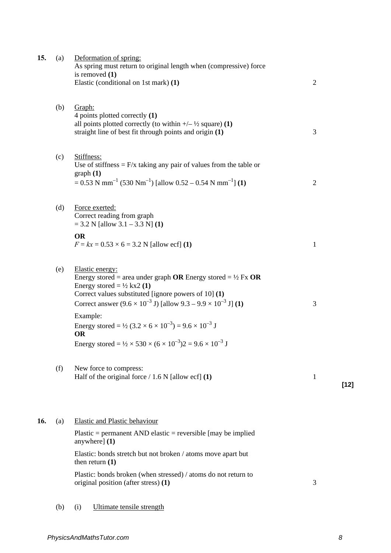| 15. | (a) | Deformation of spring:<br>As spring must return to original length when (compressive) force<br>is removed $(1)$<br>Elastic (conditional on 1st mark) (1)                                                                                                                                                     | $\overline{2}$ |        |
|-----|-----|--------------------------------------------------------------------------------------------------------------------------------------------------------------------------------------------------------------------------------------------------------------------------------------------------------------|----------------|--------|
|     | (b) | Graph:<br>4 points plotted correctly (1)<br>all points plotted correctly (to within $\frac{+}{2}$ square) (1)<br>straight line of best fit through points and origin (1)                                                                                                                                     | 3              |        |
|     | (c) | Stiffness:<br>Use of stiffness $=$ F/x taking any pair of values from the table or<br>graph(1)<br>$= 0.53$ N mm <sup>-1</sup> (530 Nm <sup>-1</sup> ) [allow 0.52 – 0.54 N mm <sup>-1</sup> ] (1)                                                                                                            | $\overline{2}$ |        |
|     | (d) | Force exerted:<br>Correct reading from graph<br>$= 3.2$ N [allow 3.1 – 3.3 N] (1)                                                                                                                                                                                                                            |                |        |
|     |     | <b>OR</b><br>$F = kx = 0.53 \times 6 = 3.2$ N [allow ecf] (1)                                                                                                                                                                                                                                                | $\mathbf{1}$   |        |
|     | (e) | Elastic energy:<br>Energy stored = area under graph OR Energy stored = $\frac{1}{2}$ Fx OR<br>Energy stored = $\frac{1}{2}$ kx2 (1)<br>Correct values substituted [ignore powers of 10] (1)<br>Correct answer $(9.6 \times 10^{-3} \text{ J})$ [allow $9.3 - 9.9 \times 10^{-3} \text{ J}$ ] (1)<br>Example: | 3              |        |
|     |     | Energy stored = $\frac{1}{2}$ (3.2 × 6 × 10 <sup>-3</sup> ) = 9.6 × 10 <sup>-3</sup> J<br><b>OR</b><br>Energy stored = $\frac{1}{2} \times 530 \times (6 \times 10^{-3})2 = 9.6 \times 10^{-3}$ J                                                                                                            |                |        |
|     | (f) | New force to compress:<br>Half of the original force $/ 1.6 N$ [allow ecf] (1)                                                                                                                                                                                                                               | 1              | $[12]$ |
| 16. | (a) | <b>Elastic and Plastic behaviour</b><br>Plastic = permanent AND elastic = reversible [may be implied                                                                                                                                                                                                         |                |        |
|     |     | anywhere] (1)<br>Elastic: bonds stretch but not broken / atoms move apart but<br>then return $(1)$                                                                                                                                                                                                           |                |        |
|     |     | Plastic: bonds broken (when stressed) / atoms do not return to<br>original position (after stress) (1)                                                                                                                                                                                                       | 3              |        |
|     | (b) | Ultimate tensile strength<br>(i)                                                                                                                                                                                                                                                                             |                |        |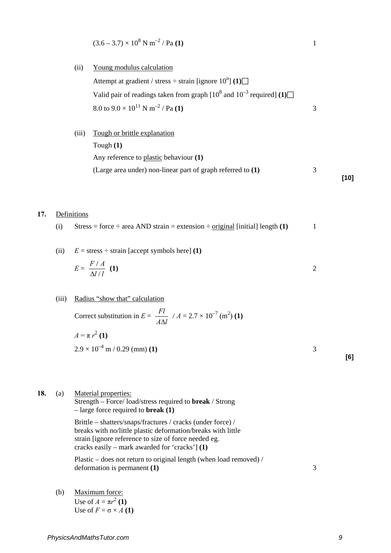$$
(3.6-3.7) \times 10^8 \text{ N m}^{-2} / \text{Pa} (1)
$$

(ii) Young modulus calculation

Attempt at gradient / stress  $\div$  strain [ignore  $10^n$ ] (1) Valid pair of readings taken from graph  $[10^8$  and  $10^{-3}$  required]  $(1)$  $8.0 \text{ to } 9.0 \times 10^{11} \text{ N m}^{-2}$  / Pa **(1)** 3

(iii) Tough or brittle explanation Tough **(1)** Any reference to plastic behaviour **(1)** (Large area under) non-linear part of graph referred to **(1)** 3 **[10]**

#### **17.** Definitions

- (i) Stress = force  $\div$  area AND strain = extension  $\div$  original [initial] length **(1)** 1
- (ii)  $E = \text{stress} \div \text{strain}$  [accept symbols here] (1)

$$
E = \frac{F/A}{\Delta l/l} \quad (1)
$$

#### (iii) Radius "show that" calculation

Correct substitution in  $E = \frac{Fl}{A\Delta l}$ ∆  $/ A = 2.7 \times 10^{-7}$  (m<sup>2</sup>) (1)  $A = \pi r^2 (1)$  $2.9 \times 10^{-4}$  m / 0.29 (mm) **(1)** 3

**[6]**

**18.** (a) Material properties: Strength – Force/ load/stress required to **break** / Strong – large force required to **break (1)** Brittle – shatters/snaps/fractures / cracks (under force) /

breaks with no/little plastic deformation/breaks with little strain [ignore reference to size of force needed eg. cracks easily – mark awarded for 'cracks'] **(1)** 

Plastic – does not return to original length (when load removed) / deformation is permanent **(1)** 3

(b) Maximum force: Use of  $A = \pi r^2 (1)$ Use of  $F = \sigma \times A$  (1)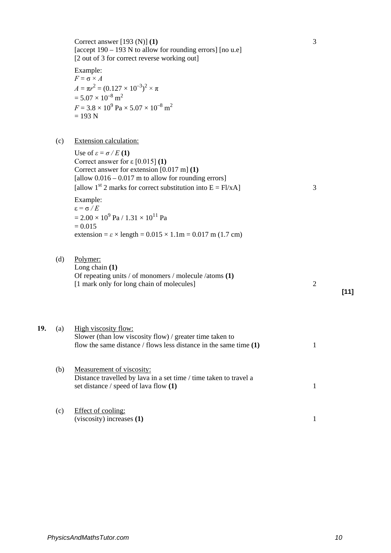| Correct answer [193 (N)] $(1)$<br>[accept $190 - 193$ N to allow for rounding errors] [no u.e]<br>[2 out of 3 for correct reverse working out]                                                                          | 3 |
|-------------------------------------------------------------------------------------------------------------------------------------------------------------------------------------------------------------------------|---|
| Example:<br>$F = \sigma \times A$<br>$A = \pi r^2 = (0.127 \times 10^{-3})^2 \times \pi$<br>$= 5.07 \times 10^{-8}$ m <sup>2</sup><br>$F = 3.8 \times 10^9$ Pa $\times 5.07 \times 10^{-8}$ m <sup>2</sup><br>$= 193 N$ |   |
| Extension calculation:<br>Use of $\varepsilon = \sigma/E(1)$                                                                                                                                                            |   |

Correct answer for ε [0.015] **(1)** Correct answer for extension [0.017 m] **(1)** [allow  $0.016 - 0.017$  m to allow for rounding errors] [allow 1<sup>st</sup> 2 marks for correct substitution into  $E = F1/xA$ ] 3 Example: ε = σ */ E*  $= 2.00 \times 10^9$  Pa /  $1.31 \times 10^{11}$  Pa  $= 0.015$ extension =  $\varepsilon$  × length =  $0.015 \times 1.1$ m =  $0.017$  m (1.7 cm)

(d) Polymer: Long chain **(1)**

 $(c)$ 

Of repeating units / of monomers / molecule /atoms **(1)** [1 mark only for long chain of molecules] 2

**[11]**

19. (a) High viscosity flow: Slower (than low viscosity flow) / greater time taken to flow the same distance / flows less distance in the same time **(1)** 1 (b) Measurement of viscosity: Distance travelled by lava in a set time / time taken to travel a set distance / speed of lava flow **(1)** 1 (c) Effect of cooling: (viscosity) increases **(1)** 1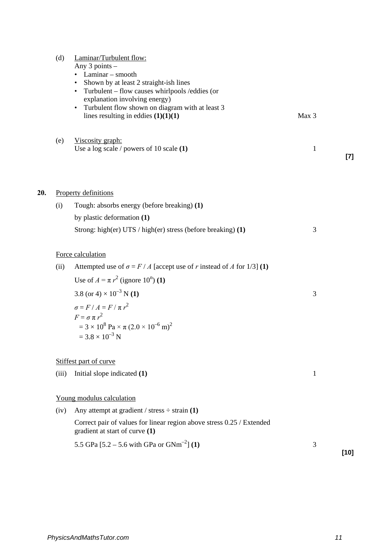|     | (d)   | Laminar/Turbulent flow:<br>Any $3$ points $-$<br>$\bullet$ Laminar – smooth<br>• Shown by at least 2 straight-ish lines<br>• Turbulent – flow causes whirlpools / eddies (or<br>explanation involving energy)<br>• Turbulent flow shown on diagram with at least 3<br>lines resulting in eddies $(1)(1)(1)$ | Max 3        |        |
|-----|-------|-------------------------------------------------------------------------------------------------------------------------------------------------------------------------------------------------------------------------------------------------------------------------------------------------------------|--------------|--------|
|     | (e)   | Viscosity graph:<br>Use a log scale $/$ powers of 10 scale $(1)$                                                                                                                                                                                                                                            | $\mathbf{1}$ | [7]    |
| 20. |       | <b>Property definitions</b>                                                                                                                                                                                                                                                                                 |              |        |
|     | (i)   | Tough: absorbs energy (before breaking) (1)                                                                                                                                                                                                                                                                 |              |        |
|     |       | by plastic deformation (1)                                                                                                                                                                                                                                                                                  |              |        |
|     |       | Strong: high(er) UTS / high(er) stress (before breaking) (1)                                                                                                                                                                                                                                                | 3            |        |
|     |       | Force calculation                                                                                                                                                                                                                                                                                           |              |        |
|     | (ii)  | Attempted use of $\sigma = F/A$ [accept use of r instead of A for 1/3] (1)                                                                                                                                                                                                                                  |              |        |
|     |       | Use of $A = \pi r^2$ (ignore 10 <sup>n</sup> ) (1)                                                                                                                                                                                                                                                          |              |        |
|     |       | 3.8 (or 4) $\times$ 10 <sup>-3</sup> N (1)                                                                                                                                                                                                                                                                  | 3            |        |
|     |       | $\sigma = F/A = F/\pi r^2$<br>$F = \sigma \pi r^2$<br>$= 3 \times 10^8$ Pa $\times \pi (2.0 \times 10^{-6}$ m) <sup>2</sup><br>$= 3.8 \times 10^{-3}$ N                                                                                                                                                     |              |        |
|     |       | Stiffest part of curve                                                                                                                                                                                                                                                                                      |              |        |
|     | (iii) | Initial slope indicated (1)                                                                                                                                                                                                                                                                                 | 1            |        |
|     |       | Young modulus calculation                                                                                                                                                                                                                                                                                   |              |        |
|     | (iv)  | Any attempt at gradient / stress $\div$ strain (1)                                                                                                                                                                                                                                                          |              |        |
|     |       | Correct pair of values for linear region above stress 0.25 / Extended<br>gradient at start of curve (1)                                                                                                                                                                                                     |              |        |
|     |       | 5.5 GPa $[5.2 - 5.6 \text{ with GPa or GNm}^{-2}]$ (1)                                                                                                                                                                                                                                                      | 3            | $[10]$ |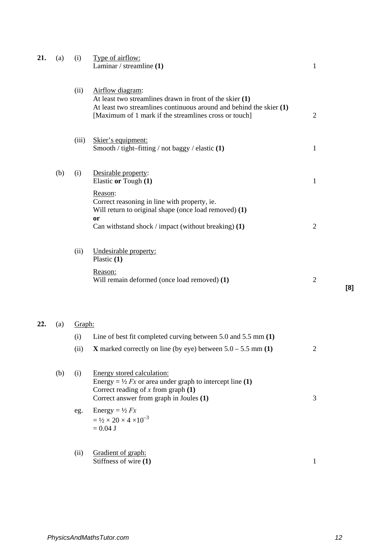| 21. | (a) | (i)    | Type of airflow:<br>Laminar / streamline $(1)$                                                                                                                                                                   | $\mathbf{1}$   |     |
|-----|-----|--------|------------------------------------------------------------------------------------------------------------------------------------------------------------------------------------------------------------------|----------------|-----|
|     |     | (ii)   | Airflow diagram:<br>At least two streamlines drawn in front of the skier $(1)$<br>At least two streamlines continuous around and behind the skier $(1)$<br>[Maximum of 1 mark if the streamlines cross or touch] | $\overline{2}$ |     |
|     |     | (iii)  | Skier's equipment:<br>Smooth / tight-fitting / not baggy / elastic (1)                                                                                                                                           | $\mathbf 1$    |     |
|     | (b) | (i)    | Desirable property:<br>Elastic or Tough (1)                                                                                                                                                                      | $\mathbf{1}$   |     |
|     |     |        | Reason:<br>Correct reasoning in line with property, ie.<br>Will return to original shape (once load removed) (1)<br>or<br>Can withstand shock / impact (without breaking) $(1)$                                  | $\overline{c}$ |     |
|     |     | (ii)   | Undesirable property:<br>Plastic $(1)$                                                                                                                                                                           |                |     |
|     |     |        | Reason:<br>Will remain deformed (once load removed) (1)                                                                                                                                                          | $\overline{2}$ | [8] |
| 22. | (a) | Graph: |                                                                                                                                                                                                                  |                |     |
|     |     | (i)    | Line of best fit completed curving between 5.0 and 5.5 mm (1)                                                                                                                                                    |                |     |
|     |     | (ii)   | <b>X</b> marked correctly on line (by eye) between $5.0 - 5.5$ mm (1)                                                                                                                                            | $\overline{c}$ |     |
|     | (b) | (i)    | Energy stored calculation:<br>Energy = $\frac{1}{2}$ Fx or area under graph to intercept line (1)<br>Correct reading of $x$ from graph $(1)$<br>Correct answer from graph in Joules (1)                          | 3              |     |
|     |     | eg.    | Energy = $\frac{1}{2}Fx$<br>$= \frac{1}{2} \times 20 \times 4 \times 10^{-3}$<br>$= 0.04$ J                                                                                                                      |                |     |
|     |     | (ii)   | Gradient of graph:<br>Stiffness of wire (1)                                                                                                                                                                      | $\mathbf{1}$   |     |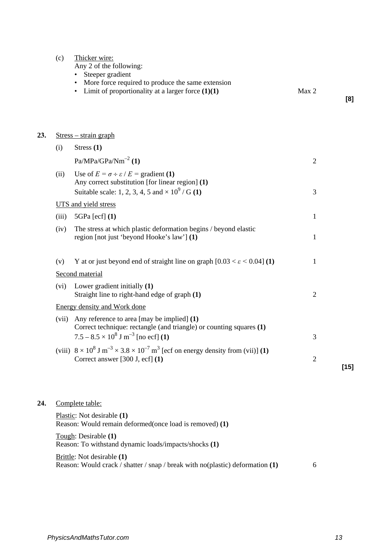| (c) | Thicker wire: |  |
|-----|---------------|--|
|     |               |  |

Any 2 of the following:

• Steeper gradient

- More force required to produce the same extension
- Limit of proportionality at a larger force  $(1)(1)$  Max 2

#### **23.** Stress – strain graph

| (i)   | Stress $(1)$                                                                                                                                                                     |                |        |
|-------|----------------------------------------------------------------------------------------------------------------------------------------------------------------------------------|----------------|--------|
|       | $Pa/MPa/GPa/Nm^{-2}$ (1)                                                                                                                                                         | $\overline{2}$ |        |
| (ii)  | Use of $E = \sigma \div \varepsilon / E =$ gradient (1)<br>Any correct substitution [for linear region] (1)<br>Suitable scale: 1, 2, 3, 4, 5 and $\times 10^{9}$ / G (1)         | 3              |        |
|       | UTS and yield stress                                                                                                                                                             |                |        |
| (iii) | $5GPa$ [ecf] $(1)$                                                                                                                                                               | 1              |        |
| (iv)  | The stress at which plastic deformation begins / beyond elastic<br>region [not just 'beyond Hooke's law'] (1)                                                                    | 1              |        |
| (v)   | Y at or just beyond end of straight line on graph $[0.03 < \varepsilon < 0.04]$ (1)<br>Second material                                                                           | 1              |        |
| (vi)  | Lower gradient initially (1)<br>Straight line to right-hand edge of graph (1)                                                                                                    | $\overline{2}$ |        |
|       | <b>Energy density and Work done</b>                                                                                                                                              |                |        |
| (vii) | Any reference to area [may be implied] $(1)$<br>Correct technique: rectangle (and triangle) or counting squares (1)<br>$7.5 - 8.5 \times 10^8$ J m <sup>-3</sup> [no ecf] (1)    | 3              |        |
|       | (viii) $8 \times 10^8$ J m <sup>-3</sup> $\times$ 3.8 $\times 10^{-7}$ m <sup>3</sup> [ecf on energy density from (vii)] (1)<br>Correct answer $[300 \text{ J}, \text{ecf}]$ (1) | $\overline{2}$ | $[15]$ |

### **24.** Complete table:

Plastic: Not desirable **(1)** Reason: Would remain deformed(once load is removed) **(1)**

Tough: Desirable **(1)** Reason: To withstand dynamic loads/impacts/shocks **(1)**

Brittle: Not desirable **(1)** Reason: Would crack / shatter / snap / break with no(plastic) deformation **(1)** 6 **[8]**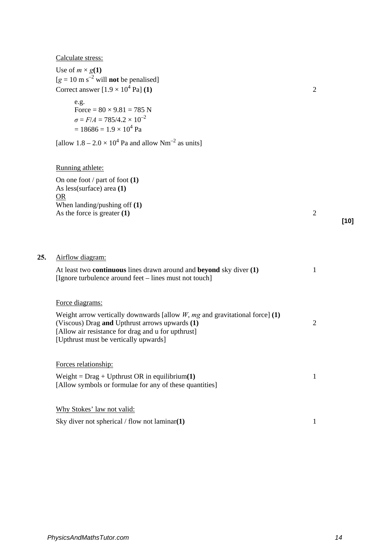|  | Calculate stress: |
|--|-------------------|
|  |                   |

| Use of $m \times g(1)$                                  |  |
|---------------------------------------------------------|--|
| $[g = 10 \text{ m s}^{-2}$ will <b>not</b> be penalised |  |
| Correct answer $[1.9 \times 10^4 \text{ Pa}]$ (1)       |  |

e.g.  
\nForce = 
$$
80 \times 9.81 = 785
$$
 N  
\n $\sigma = F/A = 785/4.2 \times 10^{-2}$   
\n=  $18686 = 1.9 \times 10^{4}$  Pa

[allow  $1.8 - 2.0 \times 10^4$  Pa and allow Nm<sup>-2</sup> as units]

### Running athlete:

On one foot / part of foot **(1)** As less(surface) area **(1)** OR When landing/pushing off **(1)** As the force is greater **(1)** 2

**25.** Airflow diagram:

At least two **continuous** lines drawn around and **beyond** sky diver **(1)** 1 [Ignore turbulence around feet – lines must not touch]

Force diagrams:

| Weight arrow vertically downwards [allow $W$ , mg and gravitational force] (1) |  |
|--------------------------------------------------------------------------------|--|
| (Viscous) Drag <b>and</b> Upthrust arrows upwards (1)                          |  |
| [Allow air resistance for drag and u for upthrust]                             |  |
| [Upthrust must be vertically upwards]                                          |  |

Forces relationship: Weight = Drag + Upthrust OR in equilibrium(1) 1 [Allow symbols or formulae for any of these quantities]

Why Stokes' law not valid:

Sky diver not spherical / flow not laminar(1) 1

**[10]**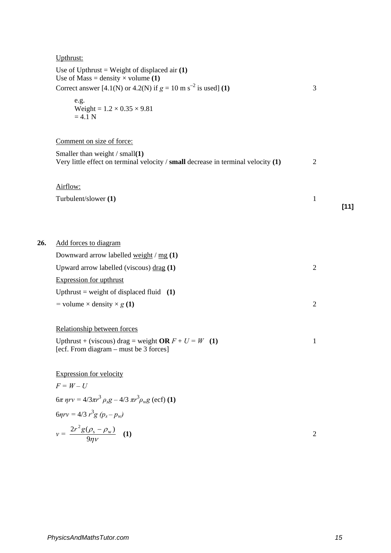Upthrust:

|     | Use of Upthrust = Weight of displaced air $(1)$<br>Use of Mass = density $\times$ volume (1)                            |                |        |
|-----|-------------------------------------------------------------------------------------------------------------------------|----------------|--------|
|     | Correct answer [4.1(N) or 4.2(N) if $g = 10$ m s <sup>-2</sup> is used] (1)                                             | 3              |        |
|     | e.g.<br>Weight = $1.2 \times 0.35 \times 9.81$<br>$=4.1$ N                                                              |                |        |
|     | Comment on size of force:                                                                                               |                |        |
|     | Smaller than weight $/$ small(1)<br>Very little effect on terminal velocity / small decrease in terminal velocity $(1)$ | $\overline{2}$ |        |
|     | Airflow:                                                                                                                |                |        |
|     | Turbulent/slower (1)                                                                                                    | 1              | $[11]$ |
|     |                                                                                                                         |                |        |
| 26. | Add forces to diagram                                                                                                   |                |        |
|     | Downward arrow labelled weight / mg (1)                                                                                 |                |        |
|     | Upward arrow labelled (viscous) $\text{drag}$ (1)                                                                       | $\mathfrak{2}$ |        |
|     | <b>Expression for upthrust</b>                                                                                          |                |        |
|     | Upthrust = weight of displaced fluid $(1)$                                                                              |                |        |
|     | = volume $\times$ density $\times$ g (1)                                                                                | $\mathfrak{2}$ |        |
|     | Relationship between forces                                                                                             |                |        |
|     | Upthrust + (viscous) drag = weight OR $F + U = W$ (1)<br>[ecf. From diagram – must be 3 forces]                         | 1              |        |
|     | <b>Expression for velocity</b>                                                                                          |                |        |
|     | $F = W - U$                                                                                                             |                |        |
|     | $6\pi$ nrv = $4/3\pi r^3 \rho_s g - 4/3 \pi r^3 \rho_w g$ (ecf) (1)                                                     |                |        |
|     | $6\eta r v = 4/3 r^3 g (p_s - p_w)$                                                                                     |                |        |
|     | $v = \frac{2r^2g(\rho_s - \rho_w)}{9nv}$ (1)                                                                            | $\overline{2}$ |        |
|     |                                                                                                                         |                |        |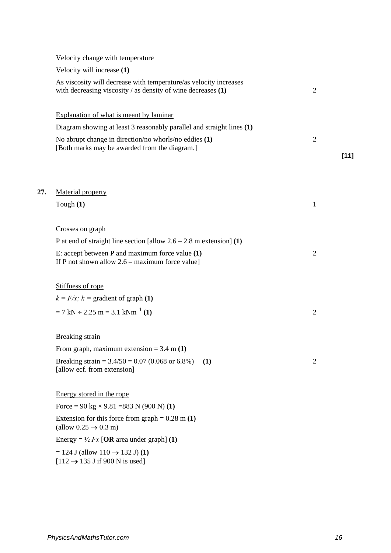|     | Velocity change with temperature                                                                                                    |                          |  |
|-----|-------------------------------------------------------------------------------------------------------------------------------------|--------------------------|--|
|     | Velocity will increase (1)                                                                                                          |                          |  |
|     | As viscosity will decrease with temperature/as velocity increases<br>with decreasing viscosity / as density of wine decreases $(1)$ | $\overline{2}$           |  |
|     | Explanation of what is meant by laminar                                                                                             |                          |  |
|     | Diagram showing at least 3 reasonably parallel and straight lines (1)                                                               |                          |  |
|     | No abrupt change in direction/no whorls/no eddies (1)<br>[Both marks may be awarded from the diagram.]                              | $\overline{2}$<br>$[11]$ |  |
|     |                                                                                                                                     |                          |  |
| 27. | Material property                                                                                                                   |                          |  |
|     | Tough $(1)$                                                                                                                         | 1                        |  |
|     | Crosses on graph                                                                                                                    |                          |  |
|     | P at end of straight line section [allow $2.6 - 2.8$ m extension] (1)                                                               |                          |  |
|     | E: accept between $P$ and maximum force value $(1)$<br>If P not shown allow $2.6$ – maximum force value]                            | $\overline{2}$           |  |
|     | Stiffness of rope                                                                                                                   |                          |  |
|     | $k = F/x$ ; $k =$ gradient of graph (1)                                                                                             |                          |  |
|     | $= 7 \text{ kN} \div 2.25 \text{ m} = 3.1 \text{ kNm}^{-1}$ (1)                                                                     | $\overline{2}$           |  |
|     | <b>Breaking</b> strain                                                                                                              |                          |  |
|     | From graph, maximum extension = $3.4$ m (1)                                                                                         |                          |  |
|     | Breaking strain = $3.4/50 = 0.07$ (0.068 or 6.8%)<br>(1)<br>[allow ecf. from extension]                                             | $\overline{2}$           |  |
|     | Energy stored in the rope                                                                                                           |                          |  |
|     | Force = 90 kg $\times$ 9.81 = 883 N (900 N) (1)                                                                                     |                          |  |
|     | Extension for this force from graph = $0.28$ m (1)<br>(allow $0.25 \rightarrow 0.3$ m)                                              |                          |  |
|     | Energy = $\frac{1}{2}$ Fx [OR area under graph] (1)                                                                                 |                          |  |
|     | $= 124$ J (allow $110 \rightarrow 132$ J) (1)<br>$[112 \rightarrow 135 \text{ J if } 900 \text{ N is used}]$                        |                          |  |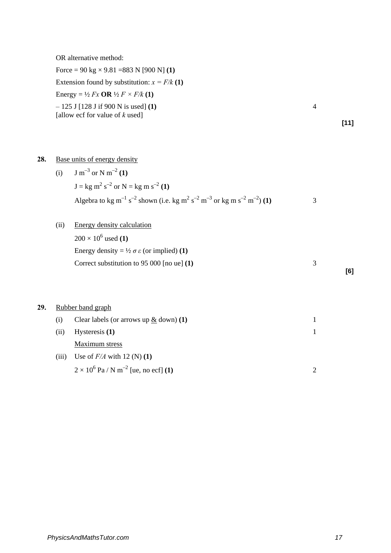OR alternative method:

Force = 90 kg × 9.81 =883 N [900 N] **(1)** Extension found by substitution:  $x = F/k(1)$ Energy =  $\frac{1}{2}$  *Fx* **OR**  $\frac{1}{2}$  *F*  $\times$  *F/k* (1) *–* 125 J [128 J if 900 N is used] **(1)** 4 [allow ecf for value of *k* used]

**28.** Base units of energy density

(i) 
$$
J \text{ m}^{-3} \text{ or } N \text{ m}^{-2} (1)
$$
  
\n $J = \text{kg m}^2 \text{ s}^{-2} \text{ or } N = \text{kg m s}^{-2} (1)$   
\nAlgebra to kg m<sup>-1</sup> s<sup>-2</sup> shown (i.e. kg m<sup>2</sup> s<sup>-2</sup> m<sup>-3</sup> or kg m s<sup>-2</sup> m<sup>-2</sup>) (1)

(ii) Energy density calculation  $200 \times 10^6$  used (1) Energy density =  $\frac{1}{2} \sigma \varepsilon$  (or implied) **(1)** Correct substitution to 95 000 [no ue] **(1)** 3

**29.** Rubber band graph

| (i)   | Clear labels (or arrows up $\&$ down) (1)               |  |
|-------|---------------------------------------------------------|--|
| (ii)  | Hysteresis $(1)$                                        |  |
|       | Maximum stress                                          |  |
| (iii) | Use of $F/A$ with 12 (N) (1)                            |  |
|       | $2 \times 10^6$ Pa / N m <sup>-2</sup> [ue, no ecf] (1) |  |

**[11]**

**[6]**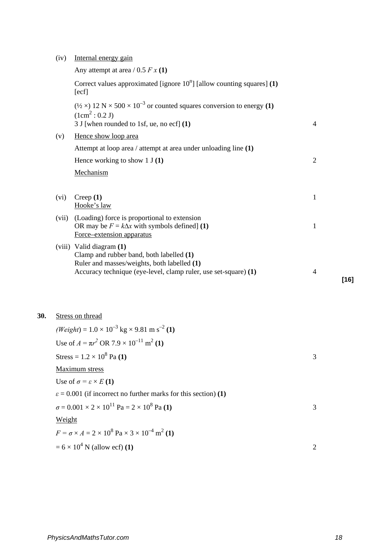| (iv) | Internal energy gain |  |
|------|----------------------|--|
|      |                      |  |
|      |                      |  |
|      |                      |  |

Any attempt at area  $/ 0.5 F x(1)$ Correct values approximated [ignore  $10<sup>n</sup>$ ] [allow counting squares]  $(1)$  $[ecf]$  $(½ \times) 12 \text{ N} \times 500 \times 10^{-3}$  or counted squares conversion to energy (1)  $(1cm<sup>2</sup> : 0.2 J)$ 3 J [when rounded to 1sf, ue, no ecf] **(1)** 4 (v) Hence show loop area Attempt at loop area / attempt at area under unloading line **(1)**  Hence working to show 1 J **(1)** 2 Mechanism (vi) Creep **(1)** 1 Hooke's law (vii) (Loading) force is proportional to extension OR may be  $F = k\Delta x$  with symbols defined] **(1)** 1 Force–extension apparatus (viii) Valid diagram **(1)**  Clamp and rubber band, both labelled **(1)** Ruler and masses/weights, both labelled **(1)**  Accuracy technique (eye-level, clamp ruler, use set-square) **(1)** 4 **[16]**

#### **30.** Stress on thread

 $(Weight) = 1.0 \times 10^{-3}$  kg  $\times$  9.81 m s<sup>-2</sup> (1) Use of  $A = \pi r^2$  OR 7.9  $\times$  10<sup>-11</sup> m<sup>2</sup> (1)  $Stress = 1.2 \times 10^8 \text{ Pa} (1)$  3 Maximum stress Use of  $\sigma = \varepsilon \times E(1)$  $\varepsilon$  = 0.001 (if incorrect no further marks for this section) **(1)**  $\sigma = 0.001 \times 2 \times 10^{11}$  Pa =  $2 \times 10^8$  Pa **(1)** 3 Weight  $F = \sigma \times A = 2 \times 10^8 \text{ Pa} \times 3 \times 10^{-4} \text{ m}^2 \text{ (1)}$  $= 6 \times 10^4$  N (allow ecf) **(1)** 2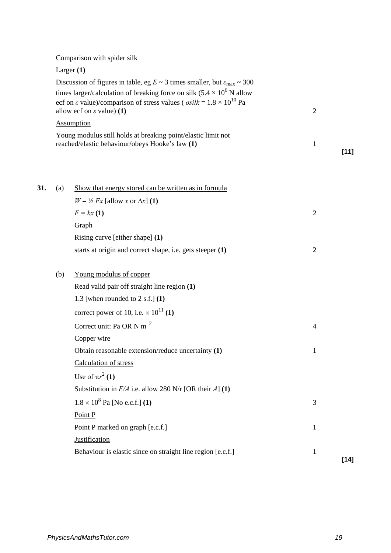|     |              | Comparison with spider silk                                                                                                                                                                                               |                |        |
|-----|--------------|---------------------------------------------------------------------------------------------------------------------------------------------------------------------------------------------------------------------------|----------------|--------|
|     | Larger $(1)$ |                                                                                                                                                                                                                           |                |        |
|     |              | Discussion of figures in table, eg $E \sim 3$ times smaller, but $\varepsilon_{\text{max}} \sim 300$                                                                                                                      |                |        |
|     |              | times larger/calculation of breaking force on silk $(5.4 \times 10^6$ N allow<br>ecf on $\varepsilon$ value)/comparison of stress values ( $\sigma silk = 1.8 \times 10^{10}$ Pa<br>allow ecf on $\varepsilon$ value) (1) | $\overline{2}$ |        |
|     |              | <b>Assumption</b>                                                                                                                                                                                                         |                |        |
|     |              | Young modulus still holds at breaking point/elastic limit not<br>reached/elastic behaviour/obeys Hooke's law (1)                                                                                                          | 1              | $[11]$ |
| 31. | (a)          | Show that energy stored can be written as in formula                                                                                                                                                                      |                |        |
|     |              | $W = \frac{1}{2} Fx$ [allow x or $\Delta x$ ] (1)                                                                                                                                                                         |                |        |
|     |              | $F = kx(1)$                                                                                                                                                                                                               | $\overline{2}$ |        |
|     |              | Graph                                                                                                                                                                                                                     |                |        |
|     |              | Rising curve [either shape] (1)                                                                                                                                                                                           |                |        |
|     |              | starts at origin and correct shape, i.e. gets steeper (1)                                                                                                                                                                 | $\overline{2}$ |        |
|     | (b)          | Young modulus of copper                                                                                                                                                                                                   |                |        |
|     |              | Read valid pair off straight line region (1)                                                                                                                                                                              |                |        |
|     |              | 1.3 [when rounded to $2$ s.f.] $(1)$                                                                                                                                                                                      |                |        |
|     |              | correct power of 10, i.e. $\times$ 10 <sup>11</sup> (1)                                                                                                                                                                   |                |        |
|     |              | Correct unit: Pa OR N $m^{-2}$                                                                                                                                                                                            | $\overline{4}$ |        |
|     |              | Copper wire                                                                                                                                                                                                               |                |        |
|     |              | Obtain reasonable extension/reduce uncertainty (1)                                                                                                                                                                        | 1              |        |
|     |              | Calculation of stress                                                                                                                                                                                                     |                |        |
|     |              | Use of $\pi r^2$ (1)                                                                                                                                                                                                      |                |        |
|     |              | Substitution in $F/A$ i.e. allow 280 N/r [OR their A] (1)                                                                                                                                                                 |                |        |
|     |              | $1.8 \times 10^8$ Pa [No e.c.f.] (1)                                                                                                                                                                                      | 3              |        |
|     |              | Point P                                                                                                                                                                                                                   |                |        |
|     |              | Point P marked on graph [e.c.f.]                                                                                                                                                                                          | $\mathbf{1}$   |        |
|     |              | <b>Justification</b>                                                                                                                                                                                                      |                |        |
|     |              | Behaviour is elastic since on straight line region [e.c.f.]                                                                                                                                                               | $\mathbf{1}$   |        |
|     |              |                                                                                                                                                                                                                           |                | $[14]$ |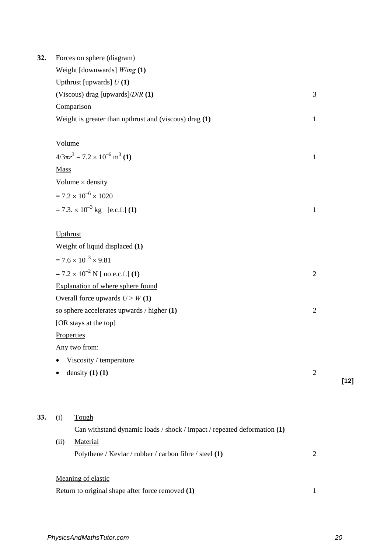| Weight [downwards] $W/mg(1)$<br>Upthrust [upwards] $U(1)$<br>(Viscous) drag [upwards]/ $D/R$ (1)<br>Comparison | 3                                                                                                                                                                     |        |
|----------------------------------------------------------------------------------------------------------------|-----------------------------------------------------------------------------------------------------------------------------------------------------------------------|--------|
|                                                                                                                |                                                                                                                                                                       |        |
|                                                                                                                |                                                                                                                                                                       |        |
|                                                                                                                |                                                                                                                                                                       |        |
|                                                                                                                |                                                                                                                                                                       |        |
| Weight is greater than upthrust and (viscous) drag (1)                                                         | $\mathbf{1}$                                                                                                                                                          |        |
| Volume                                                                                                         |                                                                                                                                                                       |        |
| $4/3\pi r^3 = 7.2 \times 10^{-6}$ m <sup>3</sup> (1)                                                           | 1                                                                                                                                                                     |        |
| <b>Mass</b>                                                                                                    |                                                                                                                                                                       |        |
| Volume $\times$ density                                                                                        |                                                                                                                                                                       |        |
| $= 7.2 \times 10^{-6} \times 1020$                                                                             |                                                                                                                                                                       |        |
| $= 7.3 \times 10^{-3}$ kg [e.c.f.] (1)                                                                         | $\mathbf{1}$                                                                                                                                                          |        |
| Upthrust                                                                                                       |                                                                                                                                                                       |        |
| Weight of liquid displaced (1)                                                                                 |                                                                                                                                                                       |        |
| $= 7.6 \times 10^{-3} \times 9.81$                                                                             |                                                                                                                                                                       |        |
| $= 7.2 \times 10^{-2}$ N [ no e.c.f.] (1)                                                                      | $\overline{2}$                                                                                                                                                        |        |
| Explanation of where sphere found                                                                              |                                                                                                                                                                       |        |
| Overall force upwards $U > W(1)$                                                                               |                                                                                                                                                                       |        |
| so sphere accelerates upwards / higher (1)                                                                     | $\mathfrak{2}$                                                                                                                                                        |        |
| [OR stays at the top]                                                                                          |                                                                                                                                                                       |        |
| Properties                                                                                                     |                                                                                                                                                                       |        |
| Any two from:                                                                                                  |                                                                                                                                                                       |        |
| Viscosity / temperature                                                                                        |                                                                                                                                                                       |        |
| density $(1)$ $(1)$                                                                                            | $\overline{2}$                                                                                                                                                        | $[12]$ |
|                                                                                                                |                                                                                                                                                                       |        |
|                                                                                                                |                                                                                                                                                                       |        |
|                                                                                                                |                                                                                                                                                                       |        |
|                                                                                                                | $\overline{2}$                                                                                                                                                        |        |
|                                                                                                                |                                                                                                                                                                       |        |
| Meaning of elastic                                                                                             |                                                                                                                                                                       |        |
|                                                                                                                | Tough<br>(i)<br>Can withstand dynamic loads / shock / impact / repeated deformation (1)<br>(ii)<br>Material<br>Polythene / Kevlar / rubber / carbon fibre / steel (1) |        |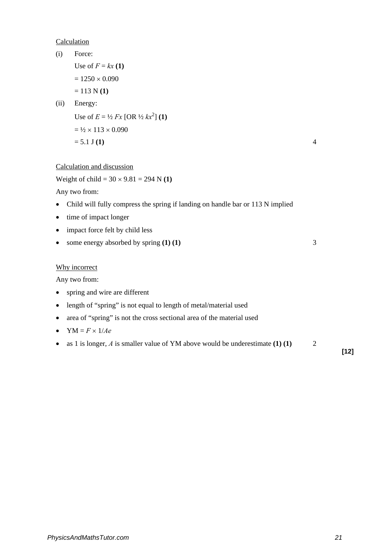### Calculation

| (i)       | Force:                                                                          |                |
|-----------|---------------------------------------------------------------------------------|----------------|
|           | Use of $F = kx(1)$                                                              |                |
|           | $= 1250 \times 0.090$                                                           |                |
|           | $= 113 N(1)$                                                                    |                |
| (ii)      | Energy:                                                                         |                |
|           | Use of $E = \frac{1}{2} Fx$ [OR $\frac{1}{2} kx^2$ ] (1)                        |                |
|           | $= \frac{1}{2} \times 113 \times 0.090$                                         |                |
|           | $= 5.1$ J (1)                                                                   | $\overline{4}$ |
|           | Calculation and discussion                                                      |                |
|           | Weight of child = $30 \times 9.81 = 294$ N (1)                                  |                |
|           | Any two from:                                                                   |                |
| $\bullet$ | Child will fully compress the spring if landing on handle bar or 113 N implied  |                |
| $\bullet$ | time of impact longer                                                           |                |
| $\bullet$ | impact force felt by child less                                                 |                |
| $\bullet$ | some energy absorbed by spring $(1)$ $(1)$                                      | 3              |
|           | Why incorrect                                                                   |                |
|           | Any two from:                                                                   |                |
| $\bullet$ | spring and wire are different                                                   |                |
| $\bullet$ | length of "spring" is not equal to length of metal/material used                |                |
| $\bullet$ | area of "spring" is not the cross sectional area of the material used           |                |
| $\bullet$ | $YM = F \times 1/Ae$                                                            |                |
| $\bullet$ | as 1 is longer, $A$ is smaller value of YM above would be underestimate (1) (1) | 2              |

**[12]**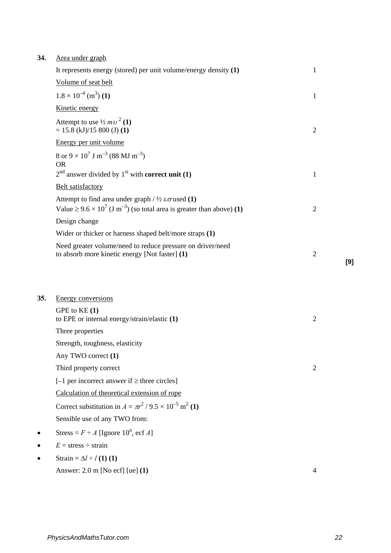## **34.** Area under graph

 $35.$ 

|           | It represents energy (stored) per unit volume/energy density $(1)$                                                                                                          | 1              |     |
|-----------|-----------------------------------------------------------------------------------------------------------------------------------------------------------------------------|----------------|-----|
|           | Volume of seat belt                                                                                                                                                         |                |     |
|           | $1.8 \times 10^{-4}$ (m <sup>3</sup> ) (1)                                                                                                                                  | $\mathbf{1}$   |     |
|           | Kinetic energy                                                                                                                                                              |                |     |
|           | Attempt to use $\frac{1}{2}mv^2(1)$<br>$= 15.8$ (kJ)/15 800 (J) (1)                                                                                                         | $\overline{2}$ |     |
|           | Energy per unit volume                                                                                                                                                      |                |     |
|           | 8 or $9 \times 10^7$ J m <sup>-3</sup> (88 MJ m <sup>-3</sup> )<br><b>OR</b>                                                                                                |                |     |
|           | $2nd$ answer divided by 1 <sup>st</sup> with <b>correct unit</b> (1)                                                                                                        | 1              |     |
|           | Belt satisfactory                                                                                                                                                           |                |     |
|           | Attempt to find area under graph / $\frac{1}{2} \varepsilon \sigma$ used (1)<br>Value $\geq 9.6 \times 10^7$ (J m <sup>-3</sup> ) (so total area is greater than above) (1) | $\overline{2}$ |     |
|           | Design change                                                                                                                                                               |                |     |
|           | Wider or thicker or harness shaped belt/more straps (1)                                                                                                                     |                |     |
|           | Need greater volume/need to reduce pressure on driver/need<br>to absorb more kinetic energy [Not faster] (1)                                                                | $\overline{2}$ |     |
|           |                                                                                                                                                                             |                | [9] |
|           |                                                                                                                                                                             |                |     |
|           |                                                                                                                                                                             |                |     |
| 35.       | <b>Energy conversions</b>                                                                                                                                                   |                |     |
|           | GPE to KE (1)<br>to EPE or internal energy/strain/elastic (1)                                                                                                               | $\overline{2}$ |     |
|           | Three properties                                                                                                                                                            |                |     |
|           | Strength, toughness, elasticity                                                                                                                                             |                |     |
|           | Any TWO correct (1)                                                                                                                                                         |                |     |
|           | Third property correct                                                                                                                                                      | $\overline{2}$ |     |
|           | $[-1$ per incorrect answer if $\geq$ three circles]                                                                                                                         |                |     |
|           | Calculation of theoretical extension of rope                                                                                                                                |                |     |
|           | Correct substitution in $A = \pi r^2 / 9.5 \times 10^{-5}$ m <sup>2</sup> (1)                                                                                               |                |     |
|           | Sensible use of any TWO from:                                                                                                                                               |                |     |
|           | Stress = $F \div A$ [Ignore 10 <sup>n</sup> , ecf A]                                                                                                                        |                |     |
| $\bullet$ | $E = \text{stress} \div \text{strain}$                                                                                                                                      |                |     |
|           | Strain = $\Delta l \div l$ (1) (1)                                                                                                                                          |                |     |
|           | Answer: $2.0$ m [No ecf] [ue] $(1)$                                                                                                                                         | $\overline{4}$ |     |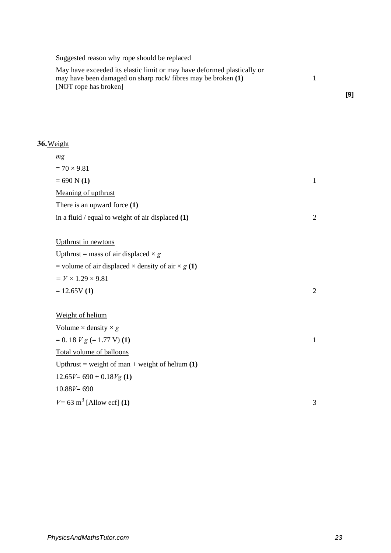## Suggested reason why rope should be replaced

| May have exceeded its elastic limit or may have deformed plastically or |  |
|-------------------------------------------------------------------------|--|
| may have been damaged on sharp rock/fibres may be broken (1)            |  |
| [NOT rope has broken]                                                   |  |

# **36.**Weight

| mg                                                               |              |
|------------------------------------------------------------------|--------------|
| $= 70 \times 9.81$                                               |              |
| $= 690 N(1)$                                                     | $\mathbf{1}$ |
| Meaning of upthrust                                              |              |
| There is an upward force $(1)$                                   |              |
| in a fluid $/$ equal to weight of air displaced $(1)$            | 2            |
|                                                                  |              |
| Upthrust in newtons                                              |              |
| Upthrust = mass of air displaced $\times g$                      |              |
| = volume of air displaced $\times$ density of air $\times$ g (1) |              |
| $= V \times 1.29 \times 9.81$                                    |              |
| $= 12.65V(1)$                                                    | 2            |
|                                                                  |              |
| Weight of helium                                                 |              |
| Volume $\times$ density $\times$ g                               |              |
| $= 0.18 V g (= 1.77 V) (1)$                                      | $\mathbf{1}$ |
| Total volume of balloons                                         |              |
| Upthrust = weight of man + weight of helium $(1)$                |              |
| $12.65V = 690 + 0.18Vg(1)$                                       |              |
| $10.88V = 690$                                                   |              |
| $V = 63$ m <sup>3</sup> [Allow ecf] (1)                          | 3            |

**[9]**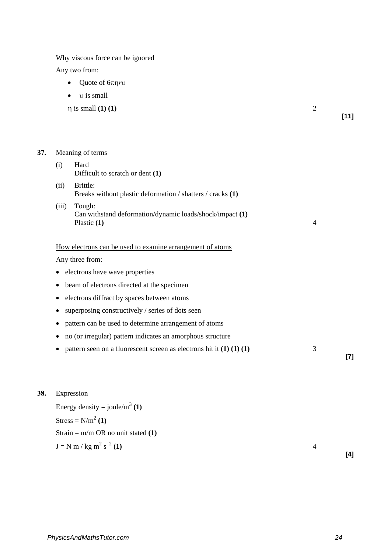Why viscous force can be ignored

Any two from:

- Quote of 6πη*r*υ
- υ is small

 $\eta$  is small **(1) (1)** 2

**[11]**

### **37.** Meaning of terms

| (i)       | Hard<br>Difficult to scratch or dent $(1)$                                          |                |       |
|-----------|-------------------------------------------------------------------------------------|----------------|-------|
| (ii)      | Brittle:<br>Breaks without plastic deformation / shatters / cracks (1)              |                |       |
| (iii)     | Tough:<br>Can withstand deformation/dynamic loads/shock/impact (1)<br>Plastic $(1)$ | $\overline{4}$ |       |
|           | How electrons can be used to examine arrangement of atoms                           |                |       |
|           | Any three from:                                                                     |                |       |
| $\bullet$ | electrons have wave properties                                                      |                |       |
|           | beam of electrons directed at the specimen                                          |                |       |
|           | electrons diffract by spaces between atoms                                          |                |       |
|           | superposing constructively / series of dots seen                                    |                |       |
|           | pattern can be used to determine arrangement of atoms                               |                |       |
|           | no (or irregular) pattern indicates an amorphous structure                          |                |       |
|           | pattern seen on a fluorescent screen as electrons hit it $(1) (1) (1)$              | 3              | $[7]$ |
|           |                                                                                     |                |       |

## **38.** Expression

Energy density = joule/m<sup>3</sup> (1)  $Stress = N/m<sup>2</sup> (1)$ Strain = m/m OR no unit stated **(1)**  $J = N m / kg m<sup>2</sup> s<sup>-2</sup> (1)$  $s^{-2}(1)$  4

**[4]**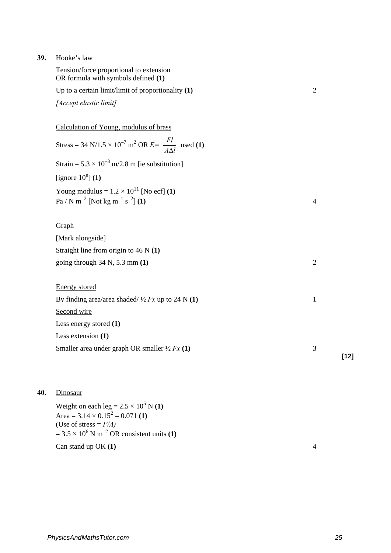### **39.** Hooke's law

| Tension/force proportional to extension<br>OR formula with symbols defined (1)<br>Up to a certain limit/limit of proportionality $(1)$<br>[Accept elastic limit] | $\overline{2}$ |        |
|------------------------------------------------------------------------------------------------------------------------------------------------------------------|----------------|--------|
| Calculation of Young, modulus of brass                                                                                                                           |                |        |
| Stress = 34 N/1.5 × 10 <sup>-7</sup> m <sup>2</sup> OR $E = \frac{Fl}{A\Lambda l}$ used (1)                                                                      |                |        |
| Strain = $5.3 \times 10^{-3}$ m/2.8 m [ie substitution]                                                                                                          |                |        |
| [ignore $10^n$ ] (1)                                                                                                                                             |                |        |
| Young modulus = $1.2 \times 10^{11}$ [No ecf] (1)<br>$Pa / N m^{-2}$ [Not kg m <sup>-1</sup> s <sup>-2</sup> ] (1)                                               | $\overline{4}$ |        |
| Graph                                                                                                                                                            |                |        |
| [Mark alongside]                                                                                                                                                 |                |        |
| Straight line from origin to $46$ N $(1)$                                                                                                                        |                |        |
| going through $34 \text{ N}$ , $5.3 \text{ mm}$ (1)                                                                                                              | $\overline{2}$ |        |
| <b>Energy</b> stored<br>By finding area/area shaded/ $\frac{1}{2}Fx$ up to 24 N (1)<br>Second wire                                                               | $\mathbf{1}$   |        |
| Less energy stored $(1)$                                                                                                                                         |                |        |
| Less extension $(1)$                                                                                                                                             |                |        |
| Smaller area under graph OR smaller $\frac{1}{2} Fx(1)$                                                                                                          | 3              | $[12]$ |
|                                                                                                                                                                  |                |        |

## **40.** Dinosaur

Weight on each leg =  $2.5 \times 10^5$  N **(1)** Area =  $3.14 \times 0.15^2 = 0.071$  (1) (Use of stress  $= F/A$ )  $= 3.5 \times 10^6$  N m<sup>-2</sup> OR consistent units **(1)** Can stand up OK **(1)** 4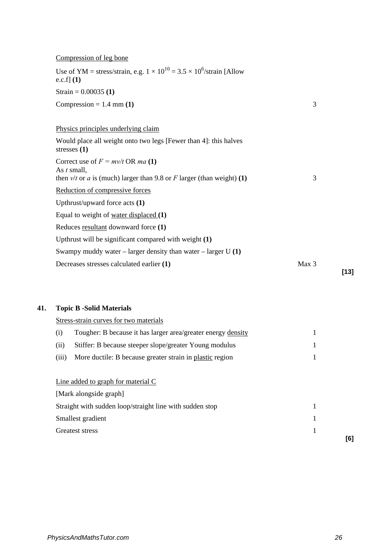## Compression of leg bone

| Use of YM = stress/strain, e.g. $1 \times 10^{10} = 3.5 \times 10^6$ /strain [Allow<br>e.c.f] $(1)$                             |       |
|---------------------------------------------------------------------------------------------------------------------------------|-------|
| Strain = $0.00035(1)$                                                                                                           |       |
| Compression = $1.4$ mm (1)                                                                                                      | 3     |
| Physics principles underlying claim                                                                                             |       |
| Would place all weight onto two legs [Fewer than 4]: this halves<br>stresses $(1)$                                              |       |
| Correct use of $F = mv/t$ OR ma (1)<br>As $t$ small,<br>then $v/t$ or a is (much) larger than 9.8 or F larger (than weight) (1) | 3     |
| Reduction of compressive forces                                                                                                 |       |
| Upthrust/upward force acts $(1)$                                                                                                |       |
| Equal to weight of <u>water displaced</u> $(1)$                                                                                 |       |
| Reduces resultant downward force (1)                                                                                            |       |
| Up thrust will be significant compared with weight $(1)$                                                                        |       |
| Swampy muddy water – larger density than water – larger U $(1)$                                                                 |       |
| Decreases stresses calculated earlier (1)                                                                                       | Max 3 |

## **41. Topic B -Solid Materials**

|       | Stress-strain curves for two materials                       |     |
|-------|--------------------------------------------------------------|-----|
| (i)   | Tougher: B because it has larger area/greater energy density |     |
| (ii)  | Stiffer: B because steeper slope/greater Young modulus       |     |
| (iii) | More ductile: B because greater strain in plastic region     |     |
|       |                                                              |     |
|       | Line added to graph for material C                           |     |
|       | [Mark alongside graph]                                       |     |
|       | Straight with sudden loop/straight line with sudden stop     |     |
|       | Smallest gradient                                            |     |
|       | Greatest stress                                              |     |
|       |                                                              | [6] |

**[13]**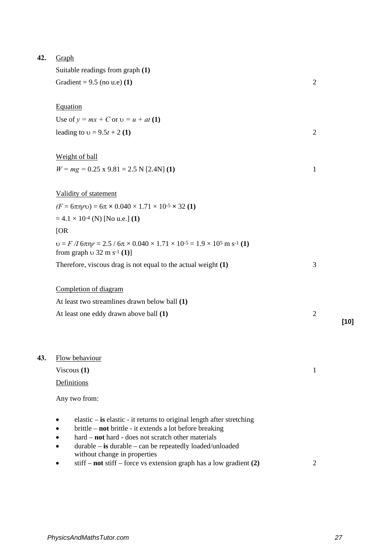| 42. | Graph                                                                                                                                                                                                                                                 |                |        |
|-----|-------------------------------------------------------------------------------------------------------------------------------------------------------------------------------------------------------------------------------------------------------|----------------|--------|
|     | Suitable readings from graph (1)                                                                                                                                                                                                                      |                |        |
|     | Gradient = $9.5$ (no u.e) (1)                                                                                                                                                                                                                         | $\overline{2}$ |        |
|     | Equation                                                                                                                                                                                                                                              |                |        |
|     | Use of $y = mx + C$ or $v = u + at (1)$                                                                                                                                                                                                               |                |        |
|     | leading to $v = 9.5t + 2(1)$                                                                                                                                                                                                                          | $\overline{2}$ |        |
|     | <b>Weight of ball</b>                                                                                                                                                                                                                                 |                |        |
|     | $W = mg = 0.25 \times 9.81 = 2.5 N [2.4 N]$ (1)                                                                                                                                                                                                       | $\mathbf{1}$   |        |
|     | Validity of statement                                                                                                                                                                                                                                 |                |        |
|     | $(F = 6\pi\eta r\upsilon) = 6\pi \times 0.040 \times 1.71 \times 10^{-5} \times 32$ (1)                                                                                                                                                               |                |        |
|     | $= 4.1 \times 10^{-4}$ (N) [No u.e.] (1)                                                                                                                                                                                                              |                |        |
|     | [OR]                                                                                                                                                                                                                                                  |                |        |
|     | $v = F/I$ 6 $\pi\eta r = 2.5 / 6\pi \times 0.040 \times 1.71 \times 10^{-5} = 1.9 \times 10^{5}$ m s <sup>-1</sup> (1)<br>from graph $\upsilon$ 32 m s <sup>-1</sup> (1)]                                                                             |                |        |
|     | Therefore, viscous drag is not equal to the actual weight $(1)$                                                                                                                                                                                       | 3              |        |
|     | Completion of diagram                                                                                                                                                                                                                                 |                |        |
|     | At least two streamlines drawn below ball (1)                                                                                                                                                                                                         |                |        |
|     | At least one eddy drawn above ball (1)                                                                                                                                                                                                                | $\mathfrak{2}$ | $[10]$ |
|     |                                                                                                                                                                                                                                                       |                |        |
| 43. | Flow behaviour                                                                                                                                                                                                                                        |                |        |
|     | Viscous $(1)$                                                                                                                                                                                                                                         | 1              |        |
|     | Definitions                                                                                                                                                                                                                                           |                |        |
|     | Any two from:                                                                                                                                                                                                                                         |                |        |
|     | elastic – is elastic - it returns to original length after stretching<br>brittle – not brittle - it extends a lot before breaking<br>hard - not hard - does not scratch other materials<br>$durable - is durable - can be repeatedly loaded/unloaded$ |                |        |

without change in properties • stiff – **not** stiff – force vs extension graph has a low gradient **(2)** 2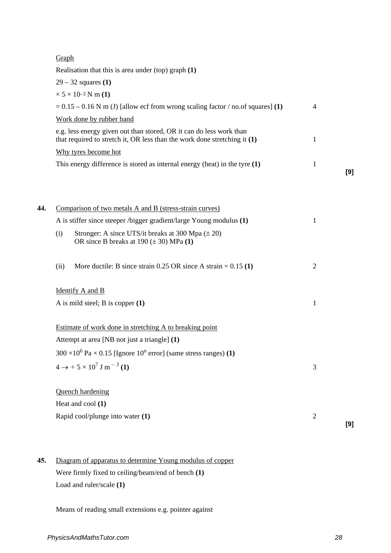|     | Graph                                                                                                                                              |                |     |
|-----|----------------------------------------------------------------------------------------------------------------------------------------------------|----------------|-----|
|     | Realisation that this is area under (top) graph $(1)$                                                                                              |                |     |
|     | $29 - 32$ squares (1)                                                                                                                              |                |     |
|     | $\times$ 5 $\times$ 10 <sup>-3</sup> N m (1)                                                                                                       |                |     |
|     | $= 0.15 - 0.16$ N m (J) [allow ecf from wrong scaling factor / no.of squares] (1)                                                                  | 4              |     |
|     | Work done by rubber band                                                                                                                           |                |     |
|     | e.g. less energy given out than stored, OR it can do less work than<br>that required to stretch it, OR less than the work done stretching it $(1)$ | 1              |     |
|     | Why tyres become hot                                                                                                                               |                |     |
|     | This energy difference is stored as internal energy (heat) in the tyre $(1)$                                                                       | 1              | [9] |
| 44. | Comparison of two metals A and B (stress-strain curves)                                                                                            |                |     |
|     | A is stiffer since steeper /bigger gradient/large Young modulus (1)                                                                                | 1              |     |
|     | Stronger: A since UTS/it breaks at 300 Mpa $(\pm 20)$<br>(i)<br>OR since B breaks at $190 (\pm 30)$ MPa (1)                                        |                |     |
|     | More ductile: B since strain $0.25$ OR since A strain = $0.15$ (1)<br>(ii)                                                                         | $\overline{2}$ |     |
|     | <b>Identify A and B</b>                                                                                                                            |                |     |
|     | A is mild steel; B is copper $(1)$                                                                                                                 | 1              |     |
|     | Estimate of work done in stretching A to breaking point                                                                                            |                |     |
|     | Attempt at area [NB not just a triangle] (1)                                                                                                       |                |     |
|     | $300 \times 10^6$ Pa $\times$ 0.15 [Ignore 10 <sup>n</sup> error] (same stress ranges) (1)                                                         |                |     |
|     | $4 \rightarrow +5 \times 10^7$ J m <sup>-3</sup> (1)                                                                                               | 3              |     |
|     | <b>Quench hardening</b>                                                                                                                            |                |     |
|     | Heat and cool (1)                                                                                                                                  |                |     |
|     | Rapid cool/plunge into water (1)                                                                                                                   | $\overline{2}$ |     |
|     |                                                                                                                                                    |                | [9] |

**45.** Diagram of apparatus to determine Young modulus of copper Were firmly fixed to ceiling/beam/end of bench **(1)** Load and ruler/scale **(1)**

Means of reading small extensions e.g. pointer against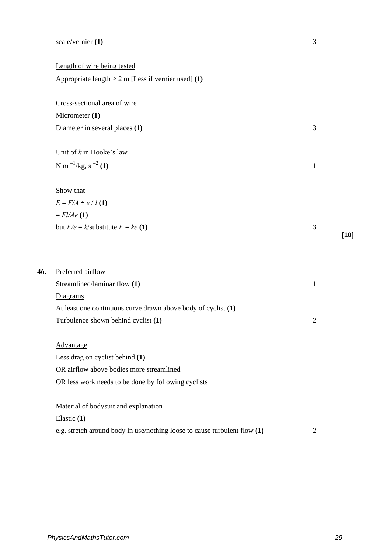#### scale/vernier **(1)** 3

Length of wire being tested Appropriate length  $\geq 2$  m [Less if vernier used] **(1)** 

Cross-sectional area of wire Micrometer **(1)** Diameter in several places **(1)** 3 Unit of *k* in Hooke's law  $N m^{-1}/kg$ ,  $s^{-2} (1)$  1 Show that  $E = F/A \div e / l(1)$  $=$  *Fl/Ae* (1) but  $F/e = k$ /substitute  $F = ke(1)$  3 **[10] 46.** Preferred airflow Streamlined/laminar flow **(1)** 1 Diagrams At least one continuous curve drawn above body of cyclist **(1)** Turbulence shown behind cyclist **(1)** 2 Advantage Less drag on cyclist behind **(1)** OR airflow above bodies more streamlined OR less work needs to be done by following cyclists Material of bodysuit and explanation Elastic **(1)** e.g. stretch around body in use/nothing loose to cause turbulent flow **(1)** 2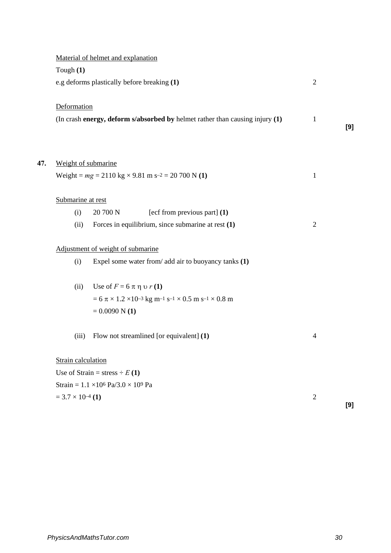|     |                            | Material of helmet and explanation                                                                     |                |     |
|-----|----------------------------|--------------------------------------------------------------------------------------------------------|----------------|-----|
|     | Tough $(1)$                |                                                                                                        |                |     |
|     |                            | e.g deforms plastically before breaking (1)                                                            | $\overline{2}$ |     |
|     | Deformation                |                                                                                                        |                |     |
|     |                            | (In crash energy, deform s/absorbed by helmet rather than causing injury (1)                           | $\mathbf{1}$   | [9] |
|     |                            |                                                                                                        |                |     |
| 47. | Weight of submarine        |                                                                                                        |                |     |
|     |                            | Weight = $mg = 2110 \text{ kg} \times 9.81 \text{ m s}^{-2} = 20700 \text{ N}$ (1)                     | $\mathbf{1}$   |     |
|     | Submarine at rest          |                                                                                                        |                |     |
|     | (i)                        | 20 700 N<br>[ecf from previous part] $(1)$                                                             |                |     |
|     | (ii)                       | Forces in equilibrium, since submarine at rest $(1)$                                                   | $\overline{2}$ |     |
|     |                            | Adjustment of weight of submarine                                                                      |                |     |
|     | (i)                        | Expel some water from/ add air to buoyancy tanks (1)                                                   |                |     |
|     | (ii)                       | Use of $F = 6 \pi \eta v r(1)$                                                                         |                |     |
|     |                            | $= 6 \pi \times 1.2 \times 10^{-3}$ kg m <sup>-1</sup> s <sup>-1</sup> × 0.5 m s <sup>-1</sup> × 0.8 m |                |     |
|     |                            | $= 0.0090 N(1)$                                                                                        |                |     |
|     | (iii)                      | Flow not streamlined [or equivalent] (1)                                                               | $\overline{4}$ |     |
|     | Strain calculation         |                                                                                                        |                |     |
|     |                            | Use of Strain = stress $\div E(1)$                                                                     |                |     |
|     |                            | Strain = $1.1 \times 10^6$ Pa/3.0 $\times$ 10 <sup>9</sup> Pa                                          |                |     |
|     | $= 3.7 \times 10^{-4}$ (1) |                                                                                                        | $\overline{2}$ |     |
|     |                            |                                                                                                        |                | [9] |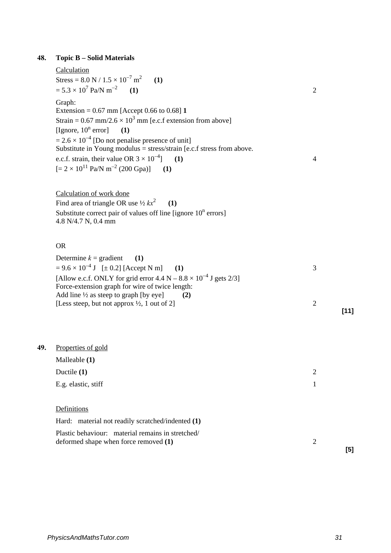## **48. Topic B – Solid Materials**

### Calculation

| Stress = $8.0 \text{ N} / 1.5 \times 10^{-7} \text{ m}^2$<br>(1)<br>$= 5.3 \times 10^7$ Pa/N m <sup>-2</sup><br>(1)                                                                                                                                                                                                                                                                                                                     | $\overline{2}$           |  |
|-----------------------------------------------------------------------------------------------------------------------------------------------------------------------------------------------------------------------------------------------------------------------------------------------------------------------------------------------------------------------------------------------------------------------------------------|--------------------------|--|
| Graph:<br>Extension = $0.67$ mm [Accept 0.66 to 0.68] 1<br>Strain = 0.67 mm/2.6 $\times$ 10 <sup>3</sup> mm [e.c.f extension from above]<br>[Ignore, $10^n$ error]<br>(1)<br>$= 2.6 \times 10^{-4}$ [Do not penalise presence of unit]<br>Substitute in Young modulus = stress/strain [e.c.f stress from above.<br>e.c.f. strain, their value OR $3 \times 10^{-4}$ (1)<br>$[= 2 \times 10^{11}$ Pa/N m <sup>-2</sup> (200 Gpa)]<br>(1) | 4                        |  |
| Calculation of work done<br>Find area of triangle OR use $\frac{1}{2} kx^2$<br>(1)<br>Substitute correct pair of values off line [ignore $10^n$ errors]<br>4.8 N/4.7 N, 0.4 mm                                                                                                                                                                                                                                                          |                          |  |
| <b>OR</b>                                                                                                                                                                                                                                                                                                                                                                                                                               |                          |  |
| Determine $k =$ gradient<br>(1)<br>$= 9.6 \times 10^{-4}$ J [ $\pm 0.2$ ] [Accept N m]<br>(1)<br>[Allow e.c.f. ONLY for grid error $4.4 \text{ N} - 8.8 \times 10^{-4} \text{ J}$ gets 2/3]<br>Force-extension graph for wire of twice length:                                                                                                                                                                                          | 3                        |  |
| Add line 1/2 as steep to graph [by eye]<br>(2)<br>[Less steep, but not approx 1/2, 1 out of 2]                                                                                                                                                                                                                                                                                                                                          | $\overline{2}$<br>$[11]$ |  |
| Properties of gold<br>Malleable (1)                                                                                                                                                                                                                                                                                                                                                                                                     |                          |  |
| Ductile (1)                                                                                                                                                                                                                                                                                                                                                                                                                             | $\overline{2}$           |  |
| E.g. elastic, stiff                                                                                                                                                                                                                                                                                                                                                                                                                     | 1                        |  |
| Definitions                                                                                                                                                                                                                                                                                                                                                                                                                             |                          |  |
| Hard: material not readily scratched/indented (1)                                                                                                                                                                                                                                                                                                                                                                                       |                          |  |
| Plastic behaviour: material remains in stretched/                                                                                                                                                                                                                                                                                                                                                                                       |                          |  |

deformed shape when force removed **(1)** 2

**49.** 

**[5]**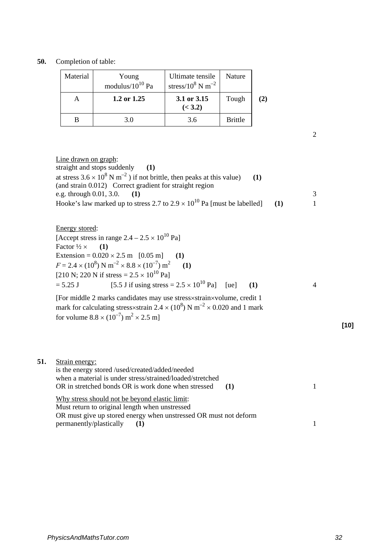### **50.** Completion of table:

| Material      | Young<br>modulus/ $10^{10}$ Pa | Ultimate tensile<br>stress/ $10^8$ N m <sup>-2</sup> | Nature         |           |
|---------------|--------------------------------|------------------------------------------------------|----------------|-----------|
| 1.2 or $1.25$ |                                | 3.1 or 3.15<br>(< 3.2)                               | Tough          | $\bf (2)$ |
|               | 3.0                            | 3.6                                                  | <b>Brittle</b> |           |

2

Line drawn on graph: straight and stops suddenly **(1)** at stress  $3.6 \times 10^8$  N m<sup>-2</sup>) if not brittle, then peaks at this value) (1) (and strain 0.012) Correct gradient for straight region e.g. through 0.01, 3.0. **(1)** 3 Hooke's law marked up to stress 2.7 to  $2.9 \times 10^{10}$  Pa [must be labelled] (1) 1

Energy stored:

[Accept stress in range  $2.4 - 2.5 \times 10^{10}$  Pa] Factor  $\frac{1}{2} \times$  (1) Extension =  $0.020 \times 2.5$  m [0.05 m] (1)  $F = 2.4 \times (10^8) \text{ N m}^{-2} \times 8.8 \times (10^{-7}) \text{ m}^2$  **(1)** [210 N; 220 N if stress =  $2.5 \times 10^{10}$  Pa]  $= 5.25 \text{ J}$  [5.5 J if using stress  $= 2.5 \times 10^{10} \text{ Pa}$ ] [ue] (1) 4

[For middle 2 marks candidates may use stress×strain×volume, credit 1 mark for calculating stress×strain 2.4  $\times$  (10<sup>8</sup>) N m<sup>-2</sup>  $\times$  0.020 and 1 mark for volume  $8.8 \times (10^{-7}) \text{ m}^2 \times 2.5 \text{ m}$ ]

| 51. | Strain energy:                                                      |  |
|-----|---------------------------------------------------------------------|--|
|     | is the energy stored /used/created/added/needed                     |  |
|     | when a material is under stress/strained/loaded/stretched           |  |
|     | OR in stretched bonds OR is work done when stressed<br>$\mathbf{1}$ |  |
|     | Why stress should not be beyond elastic limit:                      |  |
|     | Must return to original length when unstressed                      |  |
|     | OR must give up stored energy when unstressed OR must not deform    |  |
|     | permanently/plastically                                             |  |

**[10]**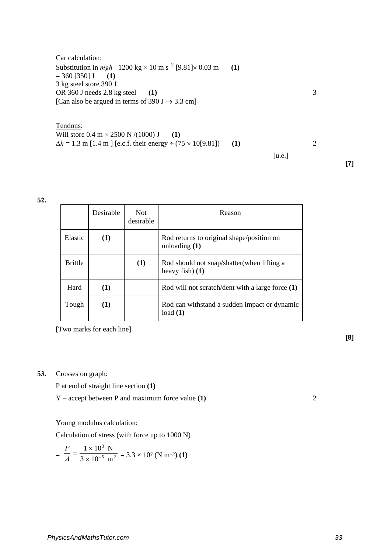Car calculation: Substitution in  $mgh$  1200 kg  $\times$  10 m s<sup>-2</sup> [9.81] $\times$  0.03 m (1)  $= 360$  [350] **J** (1) 3 kg steel store 390 J OR 360 J needs 2.8 kg steel **(1)** 3 [Can also be argued in terms of 390 J  $\rightarrow$  3.3 cm]

Tendons: Will store  $0.4 \text{ m} \times 2500 \text{ N} / (1000) \text{ J}$  (1)  $\Delta h = 1.3$  m [1.4 m ] [e.c.f. their energy ÷ (75 × 10[9.81]) (1) 2  $[u.e.]$ 

**52.**

|                | Desirable | Not.<br>desirable | Reason                                                         |
|----------------|-----------|-------------------|----------------------------------------------------------------|
| Elastic        | (1)       |                   | Rod returns to original shape/position on<br>unloading $(1)$   |
| <b>Brittle</b> |           | (1)               | Rod should not snap/shatter(when lifting a<br>heavy fish $(1)$ |
| Hard           | (1)       |                   | Rod will not scratch/dent with a large force (1)               |
| Tough          | (1)       |                   | Rod can withstand a sudden impact or dynamic<br>load(1)        |

[Two marks for each line]

#### **53.** Crosses on graph:

P at end of straight line section **(1)**

Y – accept between P and maximum force value **(1)** 2

Young modulus calculation:

Calculation of stress (with force up to 1000 N)

$$
= \frac{F}{A} = \frac{1 \times 10^3 \text{ N}}{3 \times 10^{-5} \text{ m}^2} = 3.3 \times 10^7 \text{ (N m-2) (1)}
$$

**[8]**

**[7]**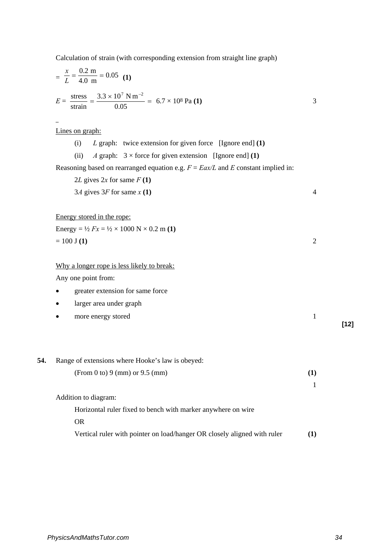Calculation of strain (with corresponding extension from straight line graph)

$$
\frac{x}{L} = \frac{0.2 \text{ m}}{4.0 \text{ m}} = 0.05 \text{ (1)}
$$
  
\n
$$
E = \frac{\text{stress}}{\text{strain}} = \frac{3.3 \times 10^7 \text{ N m}^{-2}}{0.05} = 6.7 \times 10^8 \text{ Pa (1)}
$$
  
\n
$$
\frac{2.3 \times 10^7 \text{ N m}^{-2}}{0.05} = 6.7 \times 10^8 \text{ Pa (1)}
$$
  
\n
$$
\frac{2.3 \times 10^7 \text{ N m}^{-2}}{0.05} = 6.7 \times 10^8 \text{ Pa (1)}
$$
  
\n
$$
\frac{2.3 \times 10^7 \text{ N m}^{-2}}{0.05} = 6.7 \times 10^8 \text{ Pa (1)}
$$
  
\n
$$
\frac{2.3 \times 10^7 \text{ N m}^{-2}}{0.05} = 6.7 \times 10^8 \text{ Pa (1)}
$$
  
\n
$$
\frac{2.3 \times 10^7 \text{ N m}^{-2}}{0.05} = 6.7 \times 10^8 \text{ Pa (1)}
$$
  
\n
$$
\frac{2.3 \times 10^7 \text{ N m}^{-2}}{0.05} = 6.7 \times 10^8 \text{ Pa (1)}
$$
  
\n
$$
\frac{2.3 \times 10^7 \text{ N m}^{-2}}{0.05} = 6.7 \times 10^8 \text{ Pa (1)}
$$
  
\n
$$
\frac{2.3 \times 10^7 \text{ N m}^{-2}}{0.05} = 6.7 \times 10^8 \text{ Pa (1)}
$$
  
\n
$$
\frac{2.3 \times 10^7 \text{ N m}^{-2}}{0.05} = 6.7 \times 10^8 \text{ Pa (1)}
$$
  
\n
$$
\frac{2.3 \times 10^7 \text{ N m}^{-2}}{0.05} = 6.7 \times 10^8 \text{ Pa (1)}
$$
  
\n
$$
\frac{2.3 \times 10^7 \text{ N m}^{-2}}{0.05} = 6.7 \times 10^8 \text{ Pa (1)}
$$
  
\n
$$
\frac{2.3 \times 10
$$

- larger area under graph
- more energy stored 1 **[12]**

| 54. | Range of extensions where Hooke's law is obeyed:                         |     |
|-----|--------------------------------------------------------------------------|-----|
|     | (From 0 to) 9 (mm) or 9.5 (mm)                                           | (1) |
|     |                                                                          |     |
|     | Addition to diagram:                                                     |     |
|     | Horizontal ruler fixed to bench with marker anywhere on wire             |     |
|     | OR.                                                                      |     |
|     | Vertical ruler with pointer on load/hanger OR closely aligned with ruler | (1) |
|     |                                                                          |     |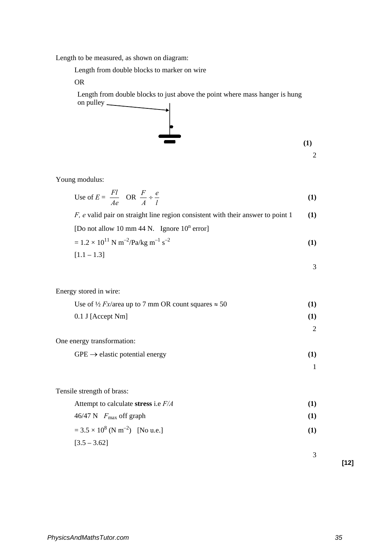Length to be measured, as shown on diagram:

Length from double blocks to marker on wire

OR

Length from double blocks to just above the point where mass hanger is hung on pulley



Young modulus:

Energy stored in wire:

Use of 
$$
E = \frac{Fl}{Ae}
$$
 OR  $\frac{F}{A} \div \frac{e}{l}$  (1)

*F, e* valid pair on straight line region consistent with their answer to point 1 **(1)**

[Do not allow 10 mm 44 N. Ignore  $10^n$  error]

$$
= 1.2 \times 10^{11} \text{ N m}^{-2}/\text{Pa/kg m}^{-1} \text{ s}^{-2}
$$
 (1)

$$
[1.1-1.3]
$$

$$
f_{\rm{max}}
$$

Use of 
$$
\frac{1}{2}Fx/\text{area}
$$
 up to 7 mm OR count squares  $\approx 50$  (1)  
\n0.1 J [Accept Nm] (1)  
\nOne energy transformation:  
\n $GPE \rightarrow \text{elastic potential energy}$  (1)  
\n1  
\nTensile strength of brass:  
\nAttempt to calculate stress i.e  $F/A$  (1)  
\n46/47 N  $F_{\text{max}}$  off graph (1)  
\n= 3.5 × 10<sup>8</sup> (N m<sup>-2</sup>) [No u.e.] (1)  
\n[3.5 – 3.62]

**[12]**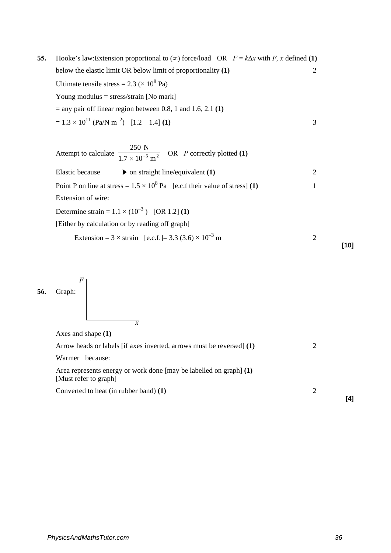**55.** Hooke's law:Extension proportional to  $(\infty)$  force/load OR  $F = k\Delta x$  with *F*, *x* defined **(1)** below the elastic limit OR below limit of proportionality **(1)** 2 Ultimate tensile stress =  $2.3 \times 10^8$  Pa) Young modulus = stress/strain [No mark] = any pair off linear region between 0.8, 1 and 1.6, 2.1 **(1)**  $= 1.3 \times 10^{11}$  (Pa/N m<sup>-2</sup>) [1.2 – 1.4] **(1)** 3

Attempt to calculate  $\frac{1.7 \times 10^{-6} \text{ m}^2}{1.7 \times 10^{-6} \text{ m}^2}$ 250 N  $\sqrt{10^{-6} \text{ m}^2}$  OR *P* correctly plotted (1) Elastic because  $\longrightarrow$  on straight line/equivalent **(1)** 2 Point P on line at stress =  $1.5 \times 10^8$  Pa [e.c.f their value of stress] **(1)** 1 Extension of wire: Determine strain =  $1.1 \times (10^{-3})$  [OR 1.2] **(1)** [Either by calculation or by reading off graph] Extension =  $3 \times \text{strain}$  [e.c.f.] =  $3.3 (3.6) \times 10^{-3}$  m 2



| Arrow heads or labels [if axes inverted, arrows must be reversed] (1)                         |     |
|-----------------------------------------------------------------------------------------------|-----|
| Warmer<br>because:                                                                            |     |
| Area represents energy or work done [may be labelled on graph] $(1)$<br>[Must refer to graph] |     |
| Converted to heat (in rubber band) (1)                                                        |     |
|                                                                                               | [4] |

**[10]**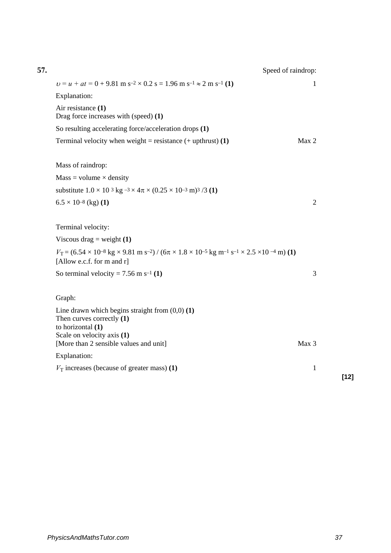| Speed of raindrop:                                                                                                                                                                                                   |                |        |
|----------------------------------------------------------------------------------------------------------------------------------------------------------------------------------------------------------------------|----------------|--------|
| $v = u + at = 0 + 9.81$ m s <sup>-2</sup> × 0.2 s = 1.96 m s <sup>-1</sup> $\approx$ 2 m s <sup>-1</sup> (1)                                                                                                         | 1              |        |
| Explanation:                                                                                                                                                                                                         |                |        |
| Air resistance (1)<br>Drag force increases with (speed) (1)                                                                                                                                                          |                |        |
| So resulting accelerating force/acceleration drops (1)                                                                                                                                                               |                |        |
| Terminal velocity when weight = resistance $(+$ upthrust) (1)                                                                                                                                                        | Max 2          |        |
| Mass of raindrop:                                                                                                                                                                                                    |                |        |
| $Mass = volume \times density$                                                                                                                                                                                       |                |        |
| substitute $1.0 \times 10^{-3}$ kg $^{-3} \times 4\pi \times (0.25 \times 10^{-3}$ m) <sup>3</sup> /3 (1)                                                                                                            |                |        |
| $6.5 \times 10^{-8}$ (kg) (1)                                                                                                                                                                                        | $\overline{2}$ |        |
| Terminal velocity:                                                                                                                                                                                                   |                |        |
| Viscous drag = weight $(1)$                                                                                                                                                                                          |                |        |
| $V_T = (6.54 \times 10^{-8} \text{ kg} \times 9.81 \text{ m s}^{-2}) / (6\pi \times 1.8 \times 10^{-5} \text{ kg m}^{-1} \text{ s}^{-1} \times 2.5 \times 10^{-4} \text{ m})$ (1)<br>[Allow e.c.f. for $m$ and $r$ ] |                |        |
| So terminal velocity = $7.56$ m s <sup>-1</sup> (1)                                                                                                                                                                  | 3              |        |
| Graph:                                                                                                                                                                                                               |                |        |
| Line drawn which begins straight from $(0,0)$ $(1)$<br>Then curves correctly $(1)$<br>to horizontal (1)                                                                                                              |                |        |
| Scale on velocity axis (1)<br>[More than 2 sensible values and unit]                                                                                                                                                 | Max 3          |        |
| Explanation:                                                                                                                                                                                                         |                |        |
| $V_T$ increases (because of greater mass) (1)                                                                                                                                                                        | $\mathbf{1}$   |        |
|                                                                                                                                                                                                                      |                | $[12]$ |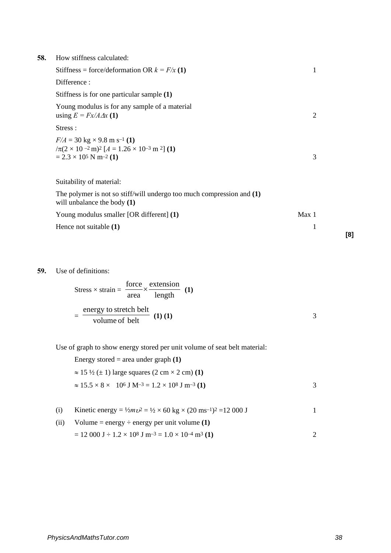| 58. | How stiffness calculated:                                                                                                                                                                           |       |     |
|-----|-----------------------------------------------------------------------------------------------------------------------------------------------------------------------------------------------------|-------|-----|
|     | Stiffness = force/deformation OR $k = F/x(1)$                                                                                                                                                       | 1     |     |
|     | Difference:                                                                                                                                                                                         |       |     |
|     | Stiffness is for one particular sample (1)                                                                                                                                                          |       |     |
|     | Young modulus is for any sample of a material<br>using $E = Fx/A \Delta x$ (1)                                                                                                                      | 2     |     |
|     | Stress :                                                                                                                                                                                            |       |     |
|     | $F/A = 30 \text{ kg} \times 9.8 \text{ m s}^{-1}$ (1)<br>$/\pi(2 \times 10^{-2} \text{ m})^2$ [A = 1.26 $\times$ 10 <sup>-3</sup> m <sup>2</sup> ] (1)<br>$= 2.3 \times 10^5$ N m <sup>-2</sup> (1) | 3     |     |
|     | Suitability of material:                                                                                                                                                                            |       |     |
|     | The polymer is not so stiff/will undergo too much compression and $(1)$<br>will unbalance the body $(1)$                                                                                            |       |     |
|     | Young modulus smaller [OR different] (1)                                                                                                                                                            | Max 1 |     |
|     | Hence not suitable (1)                                                                                                                                                                              | 1     | [8] |

### **59.** Use of definitions:

$$
Stress \times strain = \frac{force}{area} \times \frac{extension}{length} \quad (1)
$$

$$
= \frac{energy \text{ to stretch belt}}{volume \text{ of belt}} \quad (1) \quad (1)
$$

Use of graph to show energy stored per unit volume of seat belt material:

| Energy stored = area under graph $(1)$                                       |   |
|------------------------------------------------------------------------------|---|
| $\approx$ 15 $\frac{1}{2}$ ( $\pm$ 1) large squares (2 cm $\times$ 2 cm) (1) |   |
| $\approx 15.5 \times 8 \times 10^6$ J M-3 = 1.2 $\times 10^8$ J m-3 (1)      | 3 |
|                                                                              |   |

(i) Kinetic energy =  $\frac{1}{2}m v^2 = \frac{1}{2} \times 60 \text{ kg} \times (20 \text{ ms}^{-1})^2 = 12000 \text{ J}$  1

| (ii) | Volume = energy $\div$ energy per unit volume (1)                                                      |  |
|------|--------------------------------------------------------------------------------------------------------|--|
|      | $= 12000 \text{ J} \div 1.2 \times 10^8 \text{ J m}^{-3} = 1.0 \times 10^{-4} \text{ m}^3 \text{ (1)}$ |  |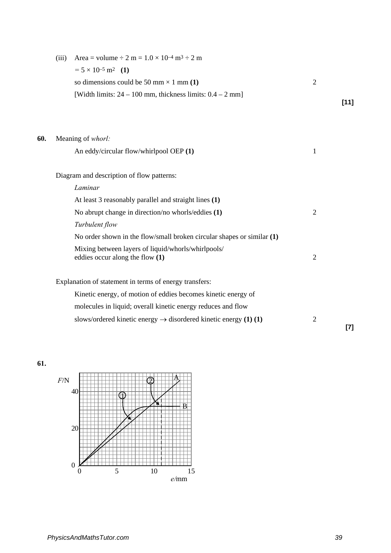|     | (iii) | Area = volume $\div 2$ m = $1.0 \times 10^{-4}$ m <sup>3</sup> $\div 2$ m    |                |        |
|-----|-------|------------------------------------------------------------------------------|----------------|--------|
|     |       | $= 5 \times 10^{-5}$ m <sup>2</sup> (1)                                      |                |        |
|     |       | so dimensions could be 50 mm $\times$ 1 mm (1)                               | $\overline{2}$ |        |
|     |       | [Width limits: $24 - 100$ mm, thickness limits: $0.4 - 2$ mm]                |                |        |
|     |       |                                                                              |                | $[11]$ |
|     |       |                                                                              |                |        |
| 60. |       | Meaning of whorl:                                                            |                |        |
|     |       | An eddy/circular flow/whirlpool OEP (1)                                      | 1              |        |
|     |       | Diagram and description of flow patterns:                                    |                |        |
|     |       | Laminar                                                                      |                |        |
|     |       | At least 3 reasonably parallel and straight lines (1)                        |                |        |
|     |       | No abrupt change in direction/no whorls/eddies (1)                           | $\overline{2}$ |        |
|     |       | Turbulent flow                                                               |                |        |
|     |       | No order shown in the flow/small broken circular shapes or similar $(1)$     |                |        |
|     |       | Mixing between layers of liquid/whorls/whirlpools/                           |                |        |
|     |       | eddies occur along the flow (1)                                              | $\overline{2}$ |        |
|     |       | Explanation of statement in terms of energy transfers:                       |                |        |
|     |       | Kinetic energy, of motion of eddies becomes kinetic energy of                |                |        |
|     |       | molecules in liquid; overall kinetic energy reduces and flow                 |                |        |
|     |       | slows/ordered kinetic energy $\rightarrow$ disordered kinetic energy (1) (1) | $\overline{2}$ |        |
|     |       |                                                                              |                | $[7]$  |



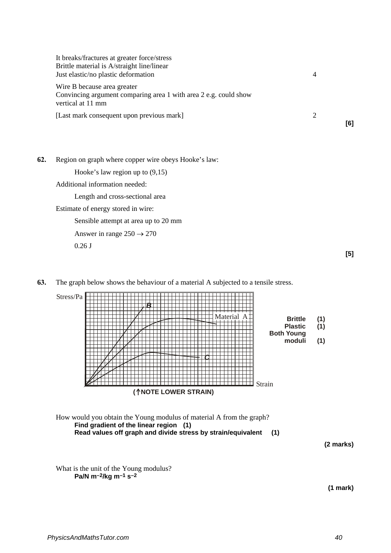| It breaks/fractures at greater force/stress<br>Brittle material is A/straight line/linear<br>Just elastic/no plastic deformation | $\overline{4}$ |     |
|----------------------------------------------------------------------------------------------------------------------------------|----------------|-----|
| Wire B because area greater<br>Convincing argument comparing area 1 with area 2 e.g. could show<br>vertical at 11 mm             |                |     |
| [Last mark consequent upon previous mark]                                                                                        |                | [6] |

**62.** Region on graph where copper wire obeys Hooke's law:

Hooke's law region up to (9,15)

Additional information needed:

Length and cross-sectional area

Estimate of energy stored in wire:

Sensible attempt at area up to 20 mm

Answer in range  $250 \rightarrow 270$ 

0.26 J

**63.** The graph below shows the behaviour of a material A subjected to a tensile stress.

| Stress/Pa | B<br>Material A                | <b>Brittle</b><br><b>Plastic</b><br><b>Both Young</b><br>moduli | (1)<br>(1)<br>(1) |
|-----------|--------------------------------|-----------------------------------------------------------------|-------------------|
|           | Strain<br>(^NOTE LOWER STRAIN) |                                                                 |                   |

How would you obtain the Young modulus of material A from the graph? **Find gradient of the linear region (1) Read values off graph and divide stress by strain/equivalent (1)**

**(2 marks)**

**[5]**

What is the unit of the Young modulus? **Pa/N m–2/kg m–1 s–2**

**(1 mark)**